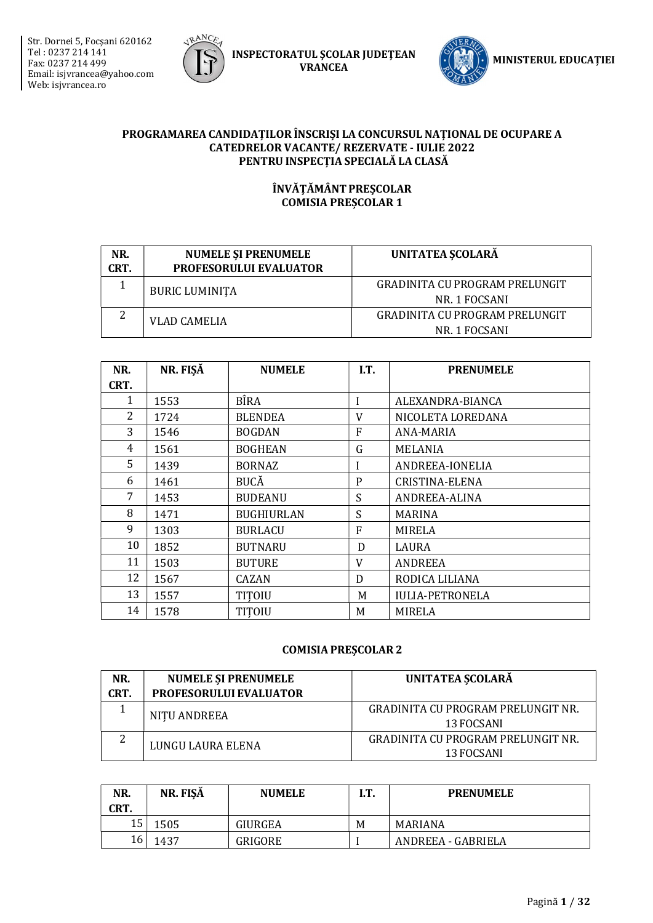Str. Dornei 5, Focşani 620162 Tel : 0237 214 141 Fax: 0237 214 499 Email: isjvrancea@yahoo.com Web: isjvrancea.ro



INSPECTORATUL ŞCOLAR JUDEŢEAN VRANCEA



#### PROGRAMAREA CANDIDAȚILOR ÎNSCRIȘI LA CONCURSUL NAȚIONAL DE OCUPARE A CATEDRELOR VACANTE/ REZERVATE - IULIE 2022 PENTRU INSPECȚIA SPECIALĂ LA CLASĂ

#### ÎNVĂȚĂMÂNT PREȘCOLAR COMISIA PREȘCOLAR 1

| NR.<br>CRT. | <b>NUMELE SI PRENUMELE</b><br><b>PROFESORULUI EVALUATOR</b> | UNITATEA SCOLARĂ                                       |
|-------------|-------------------------------------------------------------|--------------------------------------------------------|
|             | <b>BURIC LUMINITA</b>                                       | <b>GRADINITA CU PROGRAM PRELUNGIT</b><br>NR. 1 FOCSANI |
| ി           |                                                             | <b>GRADINITA CU PROGRAM PRELUNGIT</b>                  |
|             | VLAD CAMELIA                                                | NR. 1 FOCSANI                                          |

| NR.  | NR. FIŞĂ | <b>NUMELE</b>     | I.T. | <b>PRENUMELE</b>       |
|------|----------|-------------------|------|------------------------|
| CRT. |          |                   |      |                        |
| 1    | 1553     | <b>BÎRA</b>       | I    | ALEXANDRA-BIANCA       |
| 2    | 1724     | <b>BLENDEA</b>    | V    | NICOLETA LOREDANA      |
| 3    | 1546     | <b>BOGDAN</b>     | F    | ANA-MARIA              |
| 4    | 1561     | <b>BOGHEAN</b>    | G    | MELANIA                |
| 5    | 1439     | <b>BORNAZ</b>     | I    | ANDREEA-IONELIA        |
| 6    | 1461     | <b>BUCĂ</b>       | P    | CRISTINA-ELENA         |
| 7    | 1453     | <b>BUDEANU</b>    | S    | ANDREEA-ALINA          |
| 8    | 1471     | <b>BUGHIURLAN</b> | S    | MARINA                 |
| 9    | 1303     | <b>BURLACU</b>    | F    | MIRELA                 |
| 10   | 1852     | <b>BUTNARU</b>    | D    | LAURA                  |
| 11   | 1503     | <b>BUTURE</b>     | V    | <b>ANDREEA</b>         |
| 12   | 1567     | CAZAN             | D    | RODICA LILIANA         |
| 13   | 1557     | TITOIU            | M    | <b>IULIA-PETRONELA</b> |
| 14   | 1578     | TITOIU            | M    | MIRELA                 |

| NR.<br>CRT. | <b>NUMELE ȘI PRENUMELE</b><br><b>PROFESORULUI EVALUATOR</b> | UNITATEA SCOLARĂ                                        |
|-------------|-------------------------------------------------------------|---------------------------------------------------------|
|             | NITU ANDREEA                                                | <b>GRADINITA CU PROGRAM PRELUNGIT NR.</b><br>13 FOCSANI |
| ▵           | LUNGU LAURA ELENA                                           | GRADINITA CU PROGRAM PRELUNGIT NR.<br>13 FOCSANI        |

| NR.<br>CRT. | NR. FIŞĂ | <b>NUMELE</b> | I.T. | <b>PRENUMELE</b>   |
|-------------|----------|---------------|------|--------------------|
| 15          | 1505     | GIURGEA       | M    | MARIANA            |
| 16          | 1437     | GRIGORE       |      | ANDREEA - GABRIELA |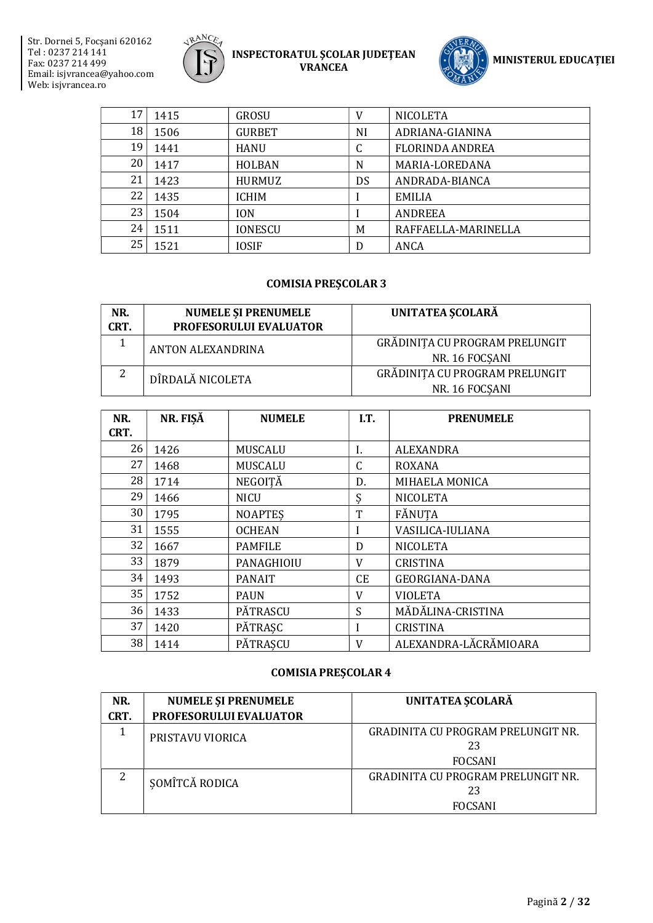



| 17 | 1415 | <b>GROSU</b>   | V  | <b>NICOLETA</b>     |
|----|------|----------------|----|---------------------|
| 18 | 1506 | <b>GURBET</b>  | NI | ADRIANA-GIANINA     |
| 19 | 1441 | <b>HANU</b>    | C  | FLORINDA ANDREA     |
| 20 | 1417 | HOLBAN         | N  | MARIA-LOREDANA      |
| 21 | 1423 | HURMUZ         | DS | ANDRADA-BIANCA      |
| 22 | 1435 | ICHIM          |    | <b>EMILIA</b>       |
| 23 | 1504 | <b>ION</b>     |    | <b>ANDREEA</b>      |
| 24 | 1511 | <b>IONESCU</b> | M  | RAFFAELLA-MARINELLA |
| 25 | 1521 | <b>IOSIF</b>   | D  | ANCA                |

#### COMISIA PREȘCOLAR 3

| NR.<br>CRT. | <b>NUMELE ȘI PRENUMELE</b><br>PROFESORULUI EVALUATOR | UNITATEA SCOLARĂ                                 |
|-------------|------------------------------------------------------|--------------------------------------------------|
|             | ANTON ALEXANDRINA                                    | GRĂDINIȚA CU PROGRAM PRELUNGIT<br>NR. 16 FOCSANI |
| ົາ          | DÎRDALĂ NICOLETA                                     | GRĂDINIȚA CU PROGRAM PRELUNGIT<br>NR. 16 FOCSANI |

| NR.  | NR. FIŞĂ | <b>NUMELE</b>  | I.T.      | <b>PRENUMELE</b>      |
|------|----------|----------------|-----------|-----------------------|
| CRT. |          |                |           |                       |
| 26   | 1426     | MUSCALU        | I.        | ALEXANDRA             |
| 27   | 1468     | <b>MUSCALU</b> | C         | <b>ROXANA</b>         |
| 28   | 1714     | NEGOIȚĂ        | D.        | MIHAELA MONICA        |
| 29   | 1466     | <b>NICU</b>    | Ş         | <b>NICOLETA</b>       |
| 30   | 1795     | <b>NOAPTES</b> | T         | FĂNUTA                |
| 31   | 1555     | <b>OCHEAN</b>  | I         | VASILICA-IULIANA      |
| 32   | 1667     | <b>PAMFILE</b> | D         | <b>NICOLETA</b>       |
| 33   | 1879     | PANAGHIOIU     | V         | <b>CRISTINA</b>       |
| 34   | 1493     | <b>PANAIT</b>  | <b>CE</b> | <b>GEORGIANA-DANA</b> |
| 35   | 1752     | <b>PAUN</b>    | V         | <b>VIOLETA</b>        |
| 36   | 1433     | PĂTRASCU       | S         | MĂDĂLINA-CRISTINA     |
| 37   | 1420     | PĂTRAȘC        | I         | <b>CRISTINA</b>       |
| 38   | 1414     | PĂTRASCU       | V         | ALEXANDRA-LĂCRĂMIOARA |

| NR.  | <b>NUMELE ȘI PRENUMELE</b> | UNITATEA SCOLARĂ                          |
|------|----------------------------|-------------------------------------------|
| CRT. | PROFESORULUI EVALUATOR     |                                           |
|      | PRISTAVU VIORICA           | GRADINITA CU PROGRAM PRELUNGIT NR.        |
|      |                            | 23                                        |
|      |                            | <b>FOCSANI</b>                            |
| 2    | SOMÎTCĂ RODICA             | <b>GRADINITA CU PROGRAM PRELUNGIT NR.</b> |
|      |                            | 23                                        |
|      |                            | <b>FOCSANI</b>                            |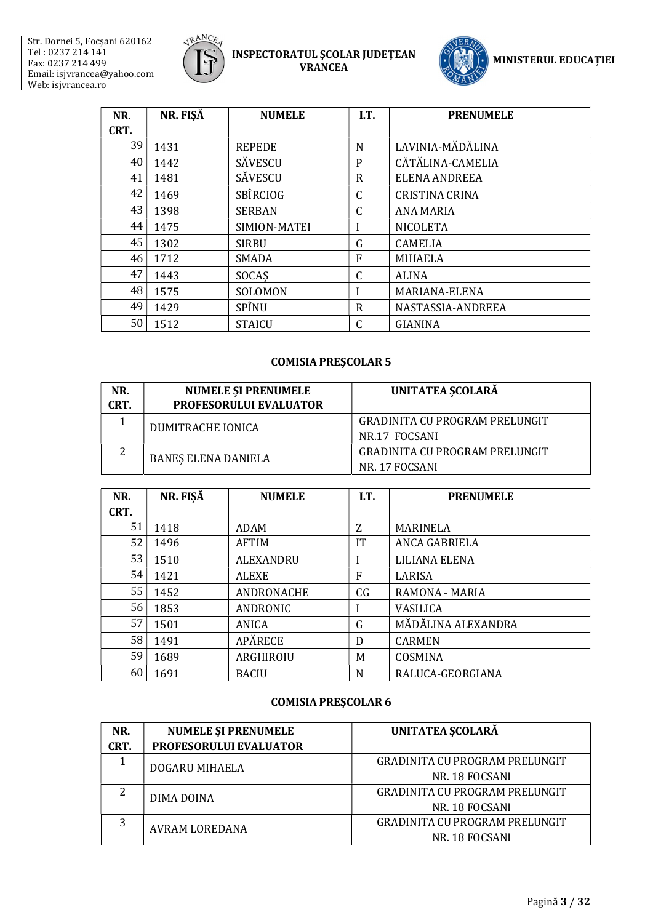



| NR.  | NR. FIŞĂ | <b>NUMELE</b> | I.T.         | <b>PRENUMELE</b>      |
|------|----------|---------------|--------------|-----------------------|
| CRT. |          |               |              |                       |
| 39   | 1431     | <b>REPEDE</b> | N            | LAVINIA-MĂDĂLINA      |
| 40   | 1442     | SĂVESCU       | P            | CĂTĂLINA-CAMELIA      |
| 41   | 1481     | SĂVESCU       | R            | ELENA ANDREEA         |
| 42   | 1469     | SBÎRCIOG      | C            | <b>CRISTINA CRINA</b> |
| 43   | 1398     | <b>SERBAN</b> | $\mathsf C$  | <b>ANA MARIA</b>      |
| 44   | 1475     | SIMION-MATEI  |              | <b>NICOLETA</b>       |
| 45   | 1302     | <b>SIRBU</b>  | G            | <b>CAMELIA</b>        |
| 46   | 1712     | <b>SMADA</b>  | F            | <b>MIHAELA</b>        |
| 47   | 1443     | SOCAS         | $\mathsf{C}$ | <b>ALINA</b>          |
| 48   | 1575     | SOLOMON       |              | MARIANA-ELENA         |
| 49   | 1429     | SPÎNU         | R            | NASTASSIA-ANDREEA     |
| 50   | 1512     | <b>STAICU</b> | C            | <b>GIANINA</b>        |

# COMISIA PREȘCOLAR 5

| NR.<br>CRT. | <b>NUMELE ȘI PRENUMELE</b><br><b>PROFESORULUI EVALUATOR</b> | UNITATEA SCOLARĂ                      |
|-------------|-------------------------------------------------------------|---------------------------------------|
|             | DUMITRACHE IONICA                                           | <b>GRADINITA CU PROGRAM PRELUNGIT</b> |
|             |                                                             | NR <sub>17</sub> FOCSANI              |
| ∠           | <b>BANES ELENA DANIELA</b>                                  | GRADINITA CU PROGRAM PRELUNGIT        |
|             |                                                             | NR. 17 FOCSANI                        |

| NR.  | NR. FIŞĂ | <b>NUMELE</b>    | I.T. | <b>PRENUMELE</b>   |
|------|----------|------------------|------|--------------------|
| CRT. |          |                  |      |                    |
| 51   | 1418     | ADAM             | Z    | <b>MARINELA</b>    |
| 52   | 1496     | <b>AFTIM</b>     | IT   | ANCA GABRIELA      |
| 53   | 1510     | <b>ALEXANDRU</b> |      | LILIANA ELENA      |
| 54   | 1421     | <b>ALEXE</b>     | F    | LARISA             |
| 55   | 1452     | ANDRONACHE       | CG   | RAMONA - MARIA     |
| 56   | 1853     | ANDRONIC         | ı    | <b>VASILICA</b>    |
| 57   | 1501     | ANICA            | G    | MĂDĂLINA ALEXANDRA |
| 58   | 1491     | APĂRECE          | D    | <b>CARMEN</b>      |
| 59   | 1689     | ARGHIROIU        | M    | COSMINA            |
| 60   | 1691     | <b>BACIU</b>     | N    | RALUCA-GEORGIANA   |

| NR.  | <b>NUMELE ȘI PRENUMELE</b> | UNITATEA ȘCOLARĂ                      |
|------|----------------------------|---------------------------------------|
| CRT. | PROFESORULUI EVALUATOR     |                                       |
|      | DOGARU MIHAELA             | <b>GRADINITA CU PROGRAM PRELUNGIT</b> |
|      |                            | NR. 18 FOCSANI                        |
| っ    | DIMA DOINA                 | <b>GRADINITA CU PROGRAM PRELUNGIT</b> |
|      |                            | NR. 18 FOCSANI                        |
| 3    | <b>AVRAM LOREDANA</b>      | <b>GRADINITA CU PROGRAM PRELUNGIT</b> |
|      |                            | NR. 18 FOCSANI                        |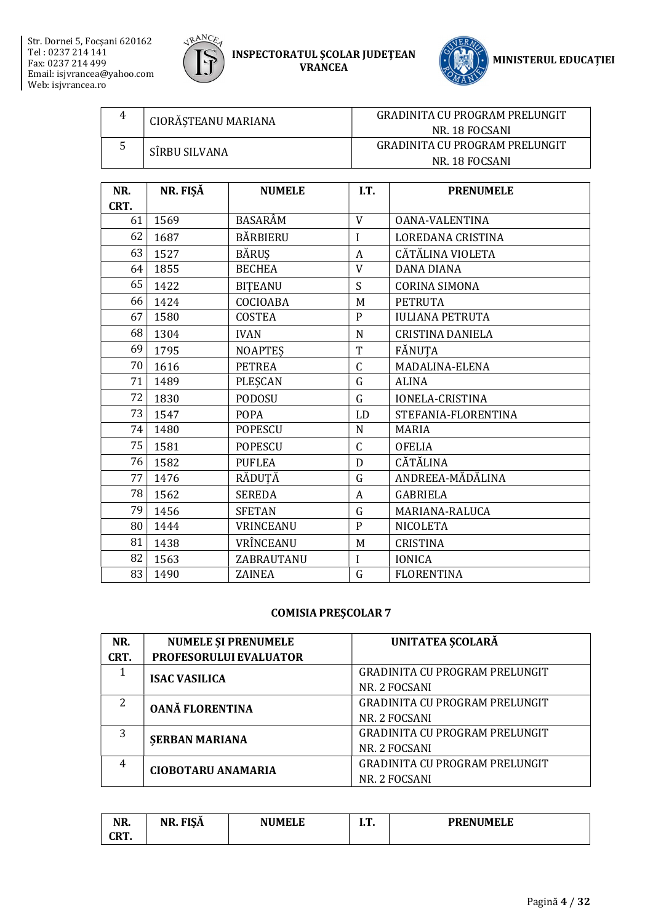



| 4 | CIORĂSTEANU MARIANA | GRADINITA CU PROGRAM PRELUNGIT        |  |  |
|---|---------------------|---------------------------------------|--|--|
|   |                     | NR. 18 FOCSANI                        |  |  |
|   | SÎRBU SILVANA       | <b>GRADINITA CU PROGRAM PRELUNGIT</b> |  |  |
|   |                     | NR. 18 FOCSANI                        |  |  |

| NR.  | NR. FIŞĂ | <b>NUMELE</b>  | I.T.         | <b>PRENUMELE</b>       |
|------|----------|----------------|--------------|------------------------|
| CRT. |          |                |              |                        |
| 61   | 1569     | BASARÂM        | V            | <b>OANA-VALENTINA</b>  |
| 62   | 1687     | BĂRBIERU       | I            | LOREDANA CRISTINA      |
| 63   | 1527     | <b>BĂRUȘ</b>   | A            | CĂTĂLINA VIOLETA       |
| 64   | 1855     | <b>BECHEA</b>  | V            | <b>DANA DIANA</b>      |
| 65   | 1422     | <b>BITEANU</b> | S            | <b>CORINA SIMONA</b>   |
| 66   | 1424     | COCIOABA       | M            | <b>PETRUTA</b>         |
| 67   | 1580     | <b>COSTEA</b>  | $\mathbf{P}$ | <b>IULIANA PETRUTA</b> |
| 68   | 1304     | <b>IVAN</b>    | N            | CRISTINA DANIELA       |
| 69   | 1795     | <b>NOAPTES</b> | T            | FĂNUTA                 |
| 70   | 1616     | <b>PETREA</b>  | C            | MADALINA-ELENA         |
| 71   | 1489     | PLEŞCAN        | G            | <b>ALINA</b>           |
| 72   | 1830     | <b>PODOSU</b>  | G            | <b>IONELA-CRISTINA</b> |
| 73   | 1547     | <b>POPA</b>    | LD           | STEFANIA-FLORENTINA    |
| 74   | 1480     | <b>POPESCU</b> | N            | MARIA                  |
| 75   | 1581     | <b>POPESCU</b> | C            | <b>OFELIA</b>          |
| 76   | 1582     | <b>PUFLEA</b>  | D            | CĂTĂLINA               |
| 77   | 1476     | RĂDUȚĂ         | G            | ANDREEA-MĂDĂLINA       |
| 78   | 1562     | <b>SEREDA</b>  | A            | <b>GABRIELA</b>        |
| 79   | 1456     | <b>SFETAN</b>  | G            | MARIANA-RALUCA         |
| 80   | 1444     | VRINCEANU      | $\mathbf{P}$ | <b>NICOLETA</b>        |
| 81   | 1438     | VRÎNCEANU      | M            | <b>CRISTINA</b>        |
| 82   | 1563     | ZABRAUTANU     | Ī            | <b>IONICA</b>          |
| 83   | 1490     | ZAINEA         | G            | <b>FLORENTINA</b>      |

| NR.  | <b>NUMELE ȘI PRENUMELE</b> | UNITATEA SCOLARĂ                      |  |  |
|------|----------------------------|---------------------------------------|--|--|
| CRT. | PROFESORULUI EVALUATOR     |                                       |  |  |
|      | <b>ISAC VASILICA</b>       | <b>GRADINITA CU PROGRAM PRELUNGIT</b> |  |  |
|      |                            | NR. 2 FOCSANI                         |  |  |
| 2    | <b>OANĂ FLORENTINA</b>     | GRADINITA CU PROGRAM PRELUNGIT        |  |  |
|      |                            | NR. 2 FOCSANI                         |  |  |
| 3    | <b>SERBAN MARIANA</b>      | <b>GRADINITA CU PROGRAM PRELUNGIT</b> |  |  |
|      |                            | NR. 2 FOCSANI                         |  |  |
| 4    | <b>CIOBOTARU ANAMARIA</b>  | <b>GRADINITA CU PROGRAM PRELUNGIT</b> |  |  |
|      |                            | NR. 2 FOCSANI                         |  |  |

| NR.           | <b>FISA</b><br>NR. | <b>NUMELE</b> | . .<br>. | <b>PRENUMELE</b> |
|---------------|--------------------|---------------|----------|------------------|
| ono<br>un i i |                    |               |          |                  |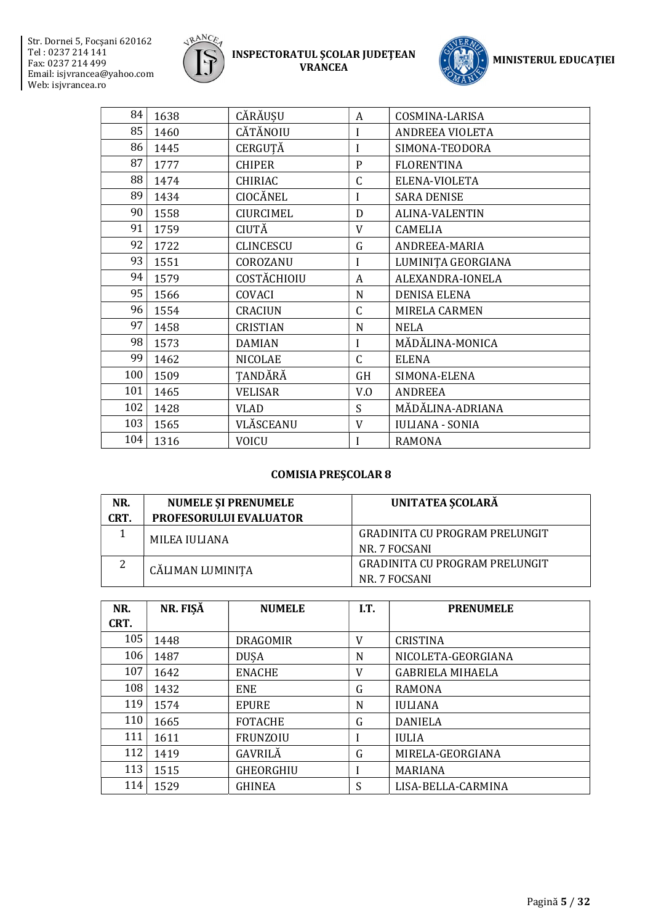



| 84  | 1638 | CĂRĂUȘU          | A            | COSMINA-LARISA         |
|-----|------|------------------|--------------|------------------------|
| 85  | 1460 | CĂTĂNOIU         | I            | <b>ANDREEA VIOLETA</b> |
| 86  | 1445 | CERGUTĂ          | I            | SIMONA-TEODORA         |
| 87  | 1777 | <b>CHIPER</b>    | $\mathbf{P}$ | <b>FLORENTINA</b>      |
| 88  | 1474 | <b>CHIRIAC</b>   | C            | ELENA-VIOLETA          |
| 89  | 1434 | CIOCĂNEL         | I            | <b>SARA DENISE</b>     |
| 90  | 1558 | <b>CIURCIMEL</b> | D            | <b>ALINA-VALENTIN</b>  |
| 91  | 1759 | CIUTĂ            | V            | <b>CAMELIA</b>         |
| 92  | 1722 | <b>CLINCESCU</b> | G            | ANDREEA-MARIA          |
| 93  | 1551 | COROZANU         | I            | LUMINIȚA GEORGIANA     |
| 94  | 1579 | COSTĂCHIOIU      | A            | ALEXANDRA-IONELA       |
| 95  | 1566 | COVACI           | N            | <b>DENISA ELENA</b>    |
| 96  | 1554 | <b>CRACIUN</b>   | C            | <b>MIRELA CARMEN</b>   |
| 97  | 1458 | <b>CRISTIAN</b>  | N            | <b>NELA</b>            |
| 98  | 1573 | <b>DAMIAN</b>    | I            | MĂDĂLINA-MONICA        |
| 99  | 1462 | <b>NICOLAE</b>   | $\mathsf{C}$ | <b>ELENA</b>           |
| 100 | 1509 | TANDĂRĂ          | GH           | SIMONA-ELENA           |
| 101 | 1465 | <b>VELISAR</b>   | V.0          | <b>ANDREEA</b>         |
| 102 | 1428 | <b>VLAD</b>      | S            | MĂDĂLINA-ADRIANA       |
| 103 | 1565 | VLĂSCEANU        | V            | <b>IULIANA - SONIA</b> |
| 104 | 1316 | VOICU            | I            | <b>RAMONA</b>          |

| NR.<br>CRT. | <b>NUMELE SI PRENUMELE</b><br><b>PROFESORULUI EVALUATOR</b> | UNITATEA SCOLARĂ                      |  |  |
|-------------|-------------------------------------------------------------|---------------------------------------|--|--|
|             | MILEA IULIANA                                               | <b>GRADINITA CU PROGRAM PRELUNGIT</b> |  |  |
|             |                                                             | NR. 7 FOCSANI                         |  |  |
| 2           | CĂLIMAN LUMINITA                                            | GRADINITA CU PROGRAM PRELUNGIT        |  |  |
|             |                                                             | NR. 7 FOCSANI                         |  |  |

| NR.<br>CRT. | NR. FISĂ | <b>NUMELE</b>    | I.T. | <b>PRENUMELE</b>        |
|-------------|----------|------------------|------|-------------------------|
|             |          |                  |      |                         |
| 105         | 1448     | <b>DRAGOMIR</b>  | V    | <b>CRISTINA</b>         |
| 106         | 1487     | <b>DUSA</b>      | N    | NICOLETA-GEORGIANA      |
| 107         | 1642     | <b>ENACHE</b>    | V    | <b>GABRIELA MIHAELA</b> |
| 108         | 1432     | <b>ENE</b>       | G    | <b>RAMONA</b>           |
| 119         | 1574     | <b>EPURE</b>     | N    | <b>IULIANA</b>          |
| 110         | 1665     | <b>FOTACHE</b>   | G    | <b>DANIELA</b>          |
| 111         | 1611     | <b>FRUNZOIU</b>  |      | <b>IULIA</b>            |
| 112         | 1419     | GAVRILĂ          | G    | MIRELA-GEORGIANA        |
| 113         | 1515     | <b>GHEORGHIU</b> |      | <b>MARIANA</b>          |
| 114         | 1529     | <b>GHINEA</b>    | S    | LISA-BELLA-CARMINA      |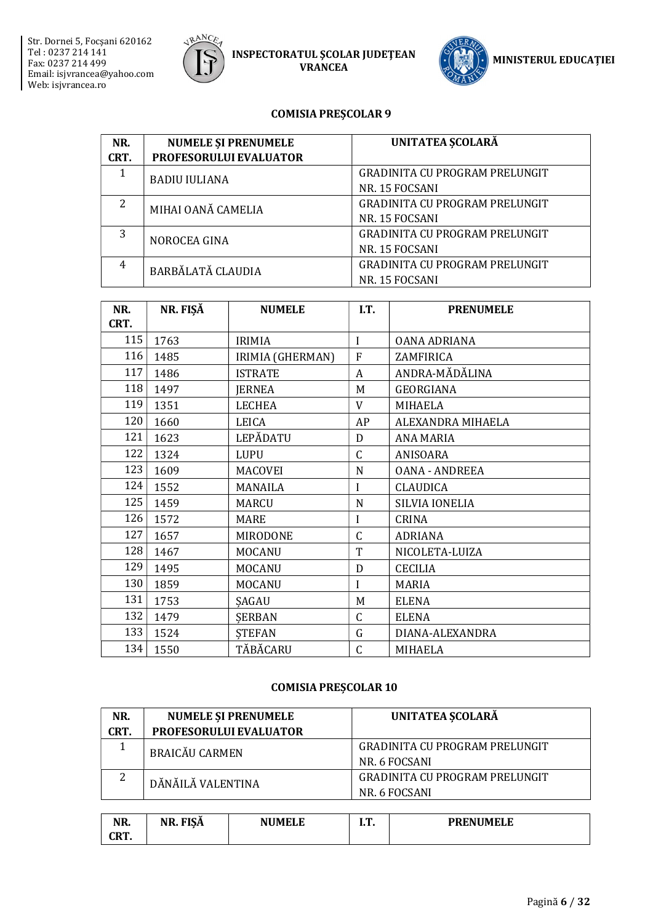



#### **COMISIA PRESCOLAR 9**

| NR.  | <b>NUMELE ȘI PRENUMELE</b> | UNITATEA SCOLARĂ                      |  |  |
|------|----------------------------|---------------------------------------|--|--|
| CRT. | PROFESORULUI EVALUATOR     |                                       |  |  |
|      | <b>BADIU IULIANA</b>       | <b>GRADINITA CU PROGRAM PRELUNGIT</b> |  |  |
|      |                            | NR. 15 FOCSANI                        |  |  |
| 2    | MIHAI OANĂ CAMELIA         | <b>GRADINITA CU PROGRAM PRELUNGIT</b> |  |  |
|      |                            | NR. 15 FOCSANI                        |  |  |
| 3    | NOROCEA GINA               | <b>GRADINITA CU PROGRAM PRELUNGIT</b> |  |  |
|      |                            | NR. 15 FOCSANI                        |  |  |
| 4    | <b>BARBĂLATĂ CLAUDIA</b>   | <b>GRADINITA CU PROGRAM PRELUNGIT</b> |  |  |
|      |                            | NR. 15 FOCSANI                        |  |  |

| NR.  | NR. FIŞĂ | <b>NUMELE</b>    | I.T.         | <b>PRENUMELE</b>      |
|------|----------|------------------|--------------|-----------------------|
| CRT. |          |                  |              |                       |
| 115  | 1763     | <b>IRIMIA</b>    | I            | <b>OANA ADRIANA</b>   |
| 116  | 1485     | IRIMIA (GHERMAN) | $\mathbf{F}$ | ZAMFIRICA             |
| 117  | 1486     | <b>ISTRATE</b>   | A            | ANDRA-MĂDĂLINA        |
| 118  | 1497     | <b>JERNEA</b>    | M            | <b>GEORGIANA</b>      |
| 119  | 1351     | <b>LECHEA</b>    | V            | <b>MIHAELA</b>        |
| 120  | 1660     | LEICA            | AP           | ALEXANDRA MIHAELA     |
| 121  | 1623     | LEPĂDATU         | D            | <b>ANA MARIA</b>      |
| 122  | 1324     | <b>LUPU</b>      | C            | ANISOARA              |
| 123  | 1609     | MACOVEI          | N            | <b>OANA - ANDREEA</b> |
| 124  | 1552     | <b>MANAILA</b>   | I            | <b>CLAUDICA</b>       |
| 125  | 1459     | MARCU            | N            | SILVIA IONELIA        |
| 126  | 1572     | MARE             | I            | <b>CRINA</b>          |
| 127  | 1657     | <b>MIRODONE</b>  | $\mathsf{C}$ | <b>ADRIANA</b>        |
| 128  | 1467     | <b>MOCANU</b>    | T            | NICOLETA-LUIZA        |
| 129  | 1495     | <b>MOCANU</b>    | D            | <b>CECILIA</b>        |
| 130  | 1859     | <b>MOCANU</b>    | I            | <b>MARIA</b>          |
| 131  | 1753     | SAGAU            | M            | <b>ELENA</b>          |
| 132  | 1479     | <b>SERBAN</b>    | $\mathsf{C}$ | <b>ELENA</b>          |
| 133  | 1524     | <b>STEFAN</b>    | G            | DIANA-ALEXANDRA       |
| 134  | 1550     | TĂBĂCARU         | $\mathsf{C}$ | <b>MIHAELA</b>        |

| NR.    | <b>NUMELE ȘI PRENUMELE</b> | <b>UNITATEA SCOLARĂ</b>               |  |  |
|--------|----------------------------|---------------------------------------|--|--|
| CRT.   | PROFESORULUI EVALUATOR     |                                       |  |  |
|        | <b>BRAICĂU CARMEN</b>      | <b>GRADINITA CU PROGRAM PRELUNGIT</b> |  |  |
|        |                            | NR. 6 FOCSANI                         |  |  |
| າ<br>∠ | DĂNĂILĂ VALENTINA          | <b>GRADINITA CU PROGRAM PRELUNGIT</b> |  |  |
|        |                            | NR. 6 FOCSANI                         |  |  |
|        |                            |                                       |  |  |

| NR.           | $\overline{\phantom{0}}$<br>१. FISA<br>ּחי־ | <b>NUMELE</b> | . <b>п</b><br>. | <b>PRENUMELE</b> |
|---------------|---------------------------------------------|---------------|-----------------|------------------|
| СDТ<br>un i i |                                             |               |                 |                  |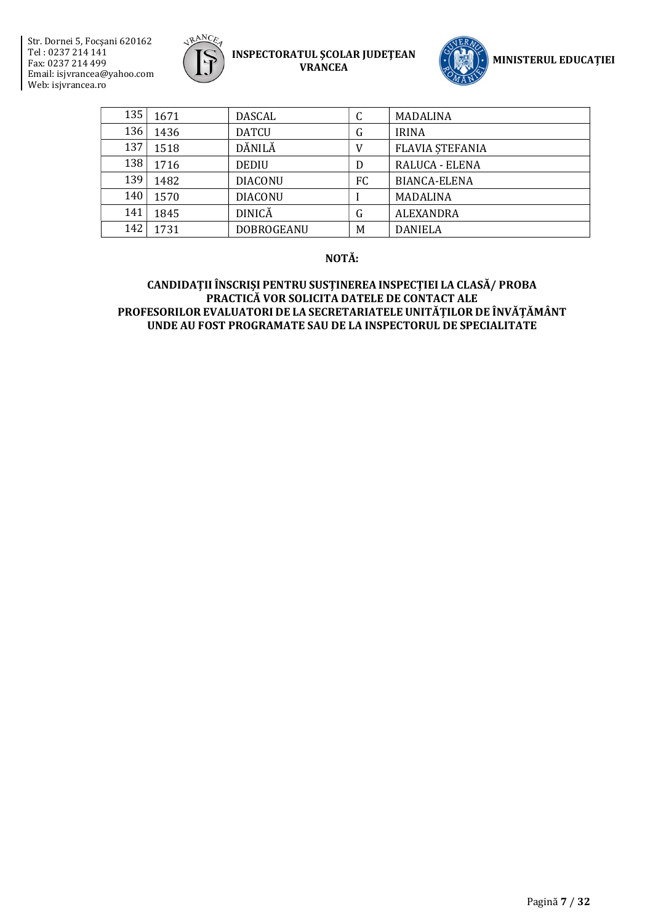



| 135 | 1671 | DASCAL            | С  | <b>MADALINA</b>        |
|-----|------|-------------------|----|------------------------|
| 136 | 1436 | <b>DATCU</b>      | G  | <b>IRINA</b>           |
| 137 | 1518 | DĂNILĂ            | V  | <b>FLAVIA STEFANIA</b> |
| 138 | 1716 | <b>DEDIU</b>      | D  | RALUCA - ELENA         |
| 139 | 1482 | <b>DIACONU</b>    | FC | <b>BIANCA-ELENA</b>    |
| 140 | 1570 | <b>DIACONU</b>    |    | <b>MADALINA</b>        |
| 141 | 1845 | <b>DINICĂ</b>     | G  | <b>ALEXANDRA</b>       |
| 142 | 1731 | <b>DOBROGEANU</b> | M  | <b>DANIELA</b>         |

#### NOTĂ: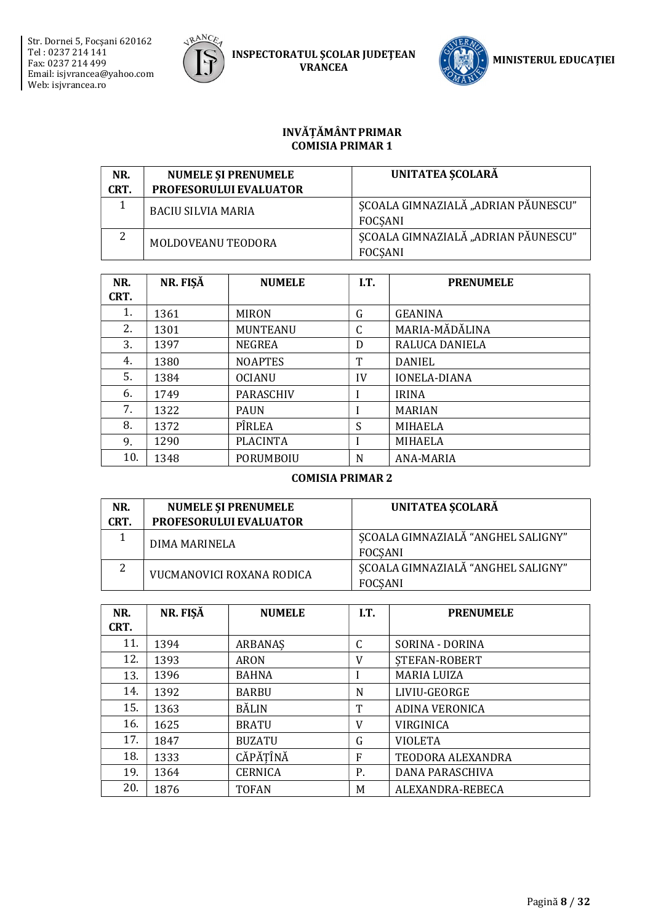



#### INVĂȚĂMÂNT PRIMAR COMISIA PRIMAR 1

| NR.<br>CRT. | <b>NUMELE SI PRENUMELE</b><br>PROFESORULUI EVALUATOR | UNITATEA ȘCOLARĂ                                      |
|-------------|------------------------------------------------------|-------------------------------------------------------|
|             | <b>BACIU SILVIA MARIA</b>                            | SCOALA GIMNAZIALĂ "ADRIAN PĂUNESCU"<br>FOCSANI        |
| 2           | MOLDOVEANU TEODORA                                   | SCOALA GIMNAZIALĂ "ADRIAN PĂUNESCU"<br><b>FOCSANI</b> |

| NR.  | NR. FIŞĂ | <b>NUMELE</b>    | I.T.         | <b>PRENUMELE</b>    |
|------|----------|------------------|--------------|---------------------|
| CRT. |          |                  |              |                     |
| 1.   | 1361     | <b>MIRON</b>     | G            | <b>GEANINA</b>      |
| 2.   | 1301     | <b>MUNTEANU</b>  | $\mathsf{C}$ | MARIA-MĂDĂLINA      |
| 3.   | 1397     | <b>NEGREA</b>    | D            | RALUCA DANIELA      |
| 4.   | 1380     | <b>NOAPTES</b>   | T            | DANIEL              |
| 5.   | 1384     | <b>OCIANU</b>    | IV           | <b>IONELA-DIANA</b> |
| 6.   | 1749     | <b>PARASCHIV</b> |              | <b>IRINA</b>        |
| 7.   | 1322     | <b>PAUN</b>      |              | <b>MARIAN</b>       |
| 8.   | 1372     | PÎRLEA           | S            | <b>MIHAELA</b>      |
| 9.   | 1290     | <b>PLACINTA</b>  |              | <b>MIHAELA</b>      |
| 10.  | 1348     | PORUMBOIU        | N            | ANA-MARIA           |

### COMISIA PRIMAR 2

| NR.<br>CRT. | <b>NUMELE ȘI PRENUMELE</b><br><b>PROFESORULUI EVALUATOR</b> | UNITATEA SCOLARĂ                                     |
|-------------|-------------------------------------------------------------|------------------------------------------------------|
|             | DIMA MARINELA                                               | ȘCOALA GIMNAZIALĂ "ANGHEL SALIGNY"<br>FOCSANI        |
| ▵           | VUCMANOVICI ROXANA RODICA                                   | SCOALA GIMNAZIALĂ "ANGHEL SALIGNY"<br><b>FOCSANI</b> |

| NR.<br>CRT. | NR. FIŞĂ | <b>NUMELE</b>  | I.T. | <b>PRENUMELE</b>      |
|-------------|----------|----------------|------|-----------------------|
| 11.         | 1394     | ARBANAS        | C    | SORINA - DORINA       |
| 12.         | 1393     | ARON           | V    | STEFAN-ROBERT         |
| 13.         | 1396     | <b>BAHNA</b>   |      | <b>MARIA LUIZA</b>    |
| 14.         | 1392     | <b>BARBU</b>   | N    | LIVIU-GEORGE          |
| 15.         | 1363     | <b>BĂLIN</b>   | Т    | <b>ADINA VERONICA</b> |
| 16.         | 1625     | <b>BRATU</b>   | V    | VIRGINICA             |
| 17.         | 1847     | <b>BUZATU</b>  | G    | <b>VIOLETA</b>        |
| 18.         | 1333     | CĂPĂȚÎNĂ       | F    | TEODORA ALEXANDRA     |
| 19.         | 1364     | <b>CERNICA</b> | Ρ.   | DANA PARASCHIVA       |
| 20.         | 1876     | <b>TOFAN</b>   | M    | ALEXANDRA-REBECA      |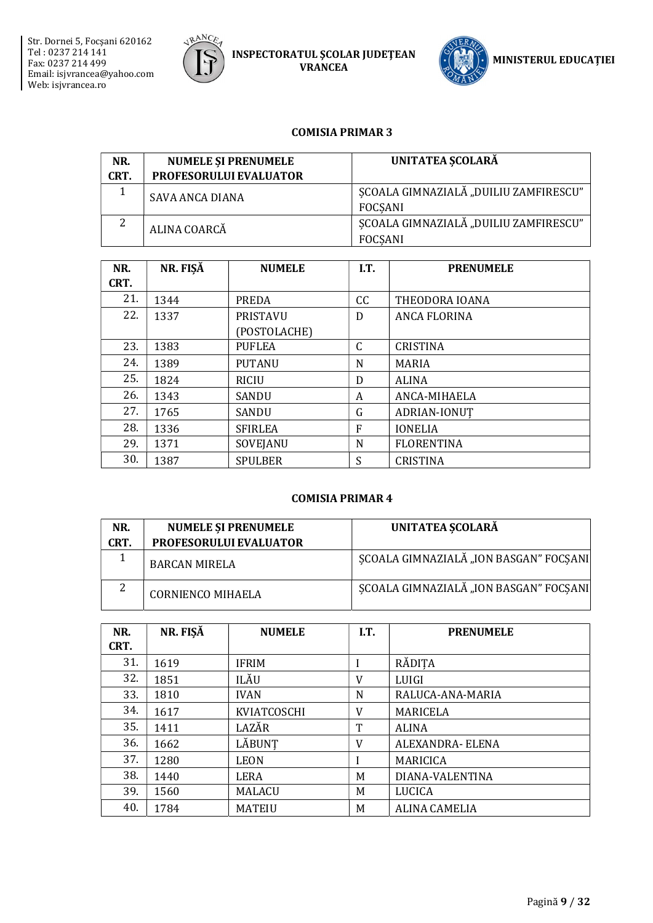



#### COMISIA PRIMAR 3

| NR.  | <b>NUMELE SI PRENUMELE</b>    | UNITATEA ȘCOLARĂ                                        |
|------|-------------------------------|---------------------------------------------------------|
| CRT. | <b>PROFESORULUI EVALUATOR</b> |                                                         |
|      | <b>SAVA ANCA DIANA</b>        | SCOALA GIMNAZIALĂ "DUILIU ZAMFIRESCU"<br><b>FOCSANI</b> |
| 2    | ALINA COARCĂ                  | SCOALA GIMNAZIALĂ "DUILIU ZAMFIRESCU"<br><b>FOCSANI</b> |

| NR.  | NR. FIŞĂ | <b>NUMELE</b>   | I.T.         | <b>PRENUMELE</b>  |
|------|----------|-----------------|--------------|-------------------|
| CRT. |          |                 |              |                   |
| 21.  | 1344     | PREDA           | CC           | THEODORA IOANA    |
| 22.  | 1337     | <b>PRISTAVU</b> | D            | ANCA FLORINA      |
|      |          | (POSTOLACHE)    |              |                   |
| 23.  | 1383     | <b>PUFLEA</b>   | $\mathsf{C}$ | <b>CRISTINA</b>   |
| 24.  | 1389     | <b>PUTANU</b>   | N            | <b>MARIA</b>      |
| 25.  | 1824     | <b>RICIU</b>    | D            | <b>ALINA</b>      |
| 26.  | 1343     | <b>SANDU</b>    | A            | ANCA-MIHAELA      |
| 27.  | 1765     | SANDU           | G            | ADRIAN-IONUT      |
| 28.  | 1336     | <b>SFIRLEA</b>  | F            | <b>IONELIA</b>    |
| 29.  | 1371     | SOVEJANU        | N            | <b>FLORENTINA</b> |
| 30.  | 1387     | <b>SPULBER</b>  | S            | <b>CRISTINA</b>   |

### COMISIA PRIMAR 4

| NR.<br>CRT. | <b>NUMELE ȘI PRENUMELE</b><br>PROFESORULUI EVALUATOR | UNITATEA SCOLARĂ                       |
|-------------|------------------------------------------------------|----------------------------------------|
|             | <b>BARCAN MIRELA</b>                                 | SCOALA GIMNAZIALĂ "ION BASGAN" FOCSANI |
| 2           | <b>CORNIENCO MIHAELA</b>                             | SCOALA GIMNAZIALĂ "ION BASGAN" FOCSANI |

| NR.  | NR. FIŞĂ | <b>NUMELE</b> | I.T. | <b>PRENUMELE</b>     |
|------|----------|---------------|------|----------------------|
| CRT. |          |               |      |                      |
| 31.  | 1619     | <b>IFRIM</b>  | I    | RĂDITA               |
| 32.  | 1851     | ILĂU          | V    | LUIGI                |
| 33.  | 1810     | <b>IVAN</b>   | N    | RALUCA-ANA-MARIA     |
| 34.  | 1617     | KVIATCOSCHI   | V    | <b>MARICELA</b>      |
| 35.  | 1411     | LAZĂR         | T    | <b>ALINA</b>         |
| 36.  | 1662     | LĂBUNT        | V    | ALEXANDRA- ELENA     |
| 37.  | 1280     | <b>LEON</b>   |      | <b>MARICICA</b>      |
| 38.  | 1440     | LERA          | M    | DIANA-VALENTINA      |
| 39.  | 1560     | MALACU        | M    | LUCICA               |
| 40.  | 1784     | <b>MATEIU</b> | M    | <b>ALINA CAMELIA</b> |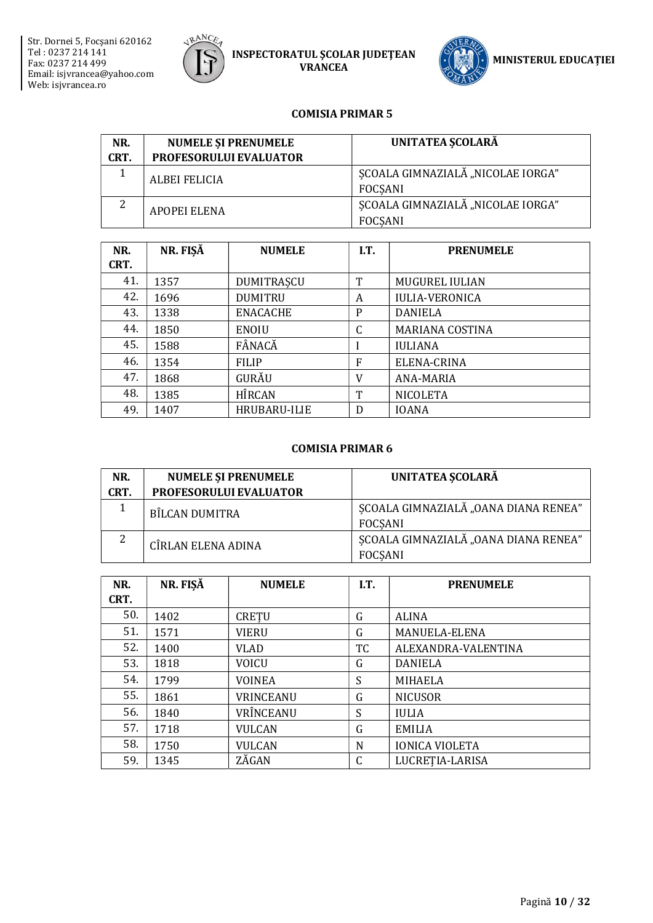



#### COMISIA PRIMAR 5

| NR.<br>CRT. | <b>NUMELE SI PRENUMELE</b><br><b>PROFESORULUI EVALUATOR</b> | <b>UNITATEA SCOLARĂ</b>                             |
|-------------|-------------------------------------------------------------|-----------------------------------------------------|
|             | <b>ALBEI FELICIA</b>                                        | SCOALA GIMNAZIALĂ "NICOLAE IORGA"<br>FOCSANI        |
| 2           | APOPEI ELENA                                                | SCOALA GIMNAZIALĂ "NICOLAE IORGA"<br><b>FOCSANI</b> |

| NR.  | NR. FIŞĂ | <b>NUMELE</b>   | I.T. | <b>PRENUMELE</b>       |
|------|----------|-----------------|------|------------------------|
| CRT. |          |                 |      |                        |
| 41.  | 1357     | DUMITRAȘCU      | T    | <b>MUGUREL IULIAN</b>  |
| 42.  | 1696     | <b>DUMITRU</b>  | A    | <b>IULIA-VERONICA</b>  |
| 43.  | 1338     | <b>ENACACHE</b> | P    | <b>DANIELA</b>         |
| 44.  | 1850     | <b>ENOIU</b>    | C    | <b>MARIANA COSTINA</b> |
| 45.  | 1588     | FÂNACĂ          |      | <b>IULIANA</b>         |
| 46.  | 1354     | <b>FILIP</b>    | F    | ELENA-CRINA            |
| 47.  | 1868     | GURĂU           | V    | ANA-MARIA              |
| 48.  | 1385     | <b>HÎRCAN</b>   | T    | <b>NICOLETA</b>        |
| 49.  | 1407     | HRUBARU-ILIE    | D    | <b>IOANA</b>           |

#### COMISIA PRIMAR 6

| NR.<br>CRT. | <b>NUMELE ȘI PRENUMELE</b><br>PROFESORULUI EVALUATOR | <b>UNITATEA SCOLARĂ</b>                                |
|-------------|------------------------------------------------------|--------------------------------------------------------|
|             | BÎLCAN DUMITRA                                       | SCOALA GIMNAZIALĂ "OANA DIANA RENEA"<br><b>FOCSANI</b> |
|             | CÎRLAN ELENA ADINA                                   | SCOALA GIMNAZIALĂ "OANA DIANA RENEA"<br><b>FOCSANI</b> |

| NR.<br>CRT. | NR. FIŞĂ | <b>NUMELE</b> | I.T.      | <b>PRENUMELE</b>      |
|-------------|----------|---------------|-----------|-----------------------|
| 50.         | 1402     | CRETU         | G         | <b>ALINA</b>          |
| 51.         | 1571     | <b>VIERU</b>  | G         | MANUELA-ELENA         |
| 52.         | 1400     | <b>VLAD</b>   | <b>TC</b> | ALEXANDRA-VALENTINA   |
| 53.         | 1818     | <b>VOICU</b>  | G         | <b>DANIELA</b>        |
| 54.         | 1799     | <b>VOINEA</b> | S         | <b>MIHAELA</b>        |
| 55.         | 1861     | VRINCEANU     | G         | <b>NICUSOR</b>        |
| 56.         | 1840     | VRÎNCEANU     | S         | <b>IULIA</b>          |
| 57.         | 1718     | <b>VULCAN</b> | G         | <b>EMILIA</b>         |
| 58.         | 1750     | <b>VULCAN</b> | N         | <b>IONICA VIOLETA</b> |
| 59.         | 1345     | ZĂGAN         | C         | LUCRETIA-LARISA       |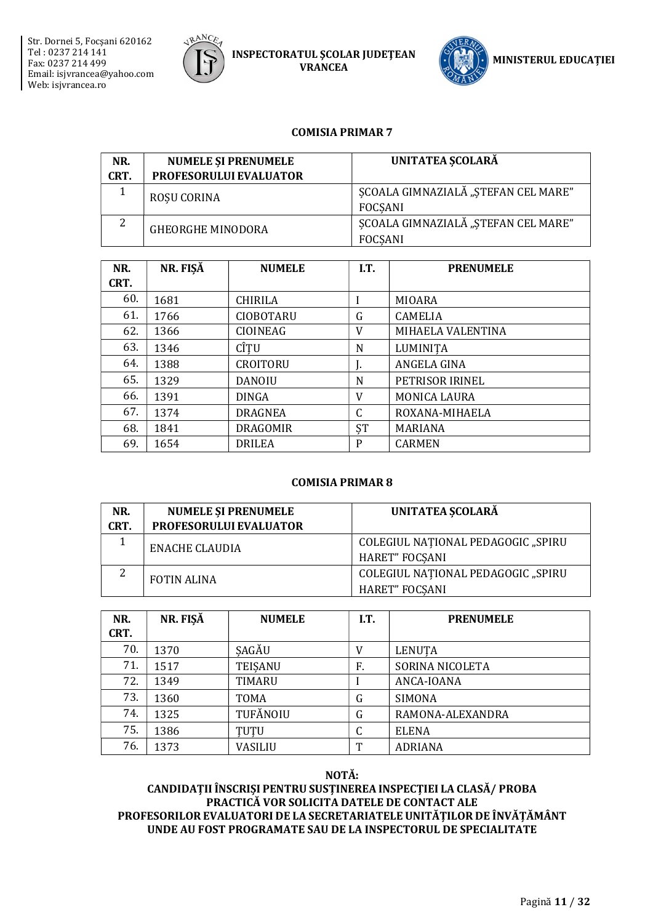



#### COMISIA PRIMAR 7

| NR.  | <b>NUMELE ȘI PRENUMELE</b> | <b>UNITATEA SCOLARĂ</b>                               |
|------|----------------------------|-------------------------------------------------------|
| CRT. | PROFESORULUI EVALUATOR     |                                                       |
|      | <b>ROSU CORINA</b>         | SCOALA GIMNAZIALĂ "STEFAN CEL MARE"<br><b>FOCSANI</b> |
| 2    | <b>GHEORGHE MINODORA</b>   | SCOALA GIMNAZIALĂ "STEFAN CEL MARE"<br><b>FOCSANI</b> |

| NR.  | NR. FIŞĂ | <b>NUMELE</b>    | I.T. | <b>PRENUMELE</b>    |
|------|----------|------------------|------|---------------------|
| CRT. |          |                  |      |                     |
| 60.  | 1681     | <b>CHIRILA</b>   |      | MIOARA              |
| 61.  | 1766     | <b>CIOBOTARU</b> | G    | <b>CAMELIA</b>      |
| 62.  | 1366     | CIOINEAG         | V    | MIHAELA VALENTINA   |
| 63.  | 1346     | CÎTU             | N    | LUMINITA            |
| 64.  | 1388     | <b>CROITORU</b>  | ۱.   | ANGELA GINA         |
| 65.  | 1329     | <b>DANOIU</b>    | N    | PETRISOR IRINEL     |
| 66.  | 1391     | <b>DINGA</b>     | V    | <b>MONICA LAURA</b> |
| 67.  | 1374     | <b>DRAGNEA</b>   | C    | ROXANA-MIHAELA      |
| 68.  | 1841     | <b>DRAGOMIR</b>  | ŞT   | <b>MARIANA</b>      |
| 69.  | 1654     | <b>DRILEA</b>    | P    | <b>CARMEN</b>       |

#### COMISIA PRIMAR 8

| NR.<br>CRT. | <b>NUMELE SI PRENUMELE</b><br><b>PROFESORULUI EVALUATOR</b> | UNITATEA SCOLARĂ                                            |
|-------------|-------------------------------------------------------------|-------------------------------------------------------------|
|             | ENACHE CLAUDIA                                              | COLEGIUL NATIONAL PEDAGOGIC "SPIRU<br><b>HARET" FOCSANI</b> |
| 2           | <b>FOTIN ALINA</b>                                          | COLEGIUL NAȚIONAL PEDAGOGIC "SPIRU<br><b>HARET" FOCSANI</b> |

| NR.<br>CRT. | NR. FIŞĂ | <b>NUMELE</b>  | I.T. | <b>PRENUMELE</b> |
|-------------|----------|----------------|------|------------------|
| 70.         | 1370     | SAGĂU          | V    | <b>LENUTA</b>    |
| 71.         | 1517     | <b>TEISANU</b> | F.   | SORINA NICOLETA  |
| 72.         | 1349     | TIMARU         |      | ANCA-IOANA       |
| 73.         | 1360     | TOMA           | G    | <b>SIMONA</b>    |
| 74.         | 1325     | TUFĂNOIU       | G    | RAMONA-ALEXANDRA |
| 75.         | 1386     | TUTU           | C    | <b>ELENA</b>     |
| 76.         | 1373     | VASILIU        | m    | <b>ADRIANA</b>   |

NOTĂ: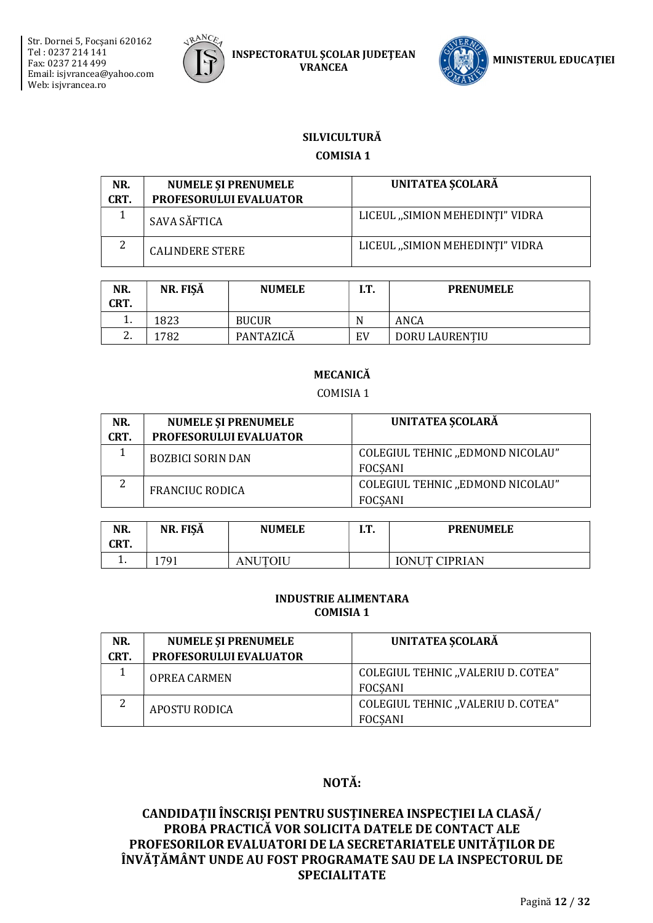



# **SILVICULTURĂ**

## **COMISIA 1**

| NR.<br>CRT. | <b>NUMELE SI PRENUMELE</b><br><b>PROFESORULUI EVALUATOR</b> | UNITATEA ȘCOLARĂ                |
|-------------|-------------------------------------------------------------|---------------------------------|
|             | SAVA SĂFTICA                                                | LICEUL "SIMION MEHEDINTI" VIDRA |
| ာ<br>∠      | <b>CALINDERE STERE</b>                                      | LICEUL "SIMION MEHEDINTI" VIDRA |

| NR.<br>CRT.   | NR. FISĂ | <b>NUMELE</b> | іт<br>. | <b>PRENUMELE</b> |
|---------------|----------|---------------|---------|------------------|
| . .           | 1823     | <b>BUCUR</b>  | N       | ANCA             |
| ⌒<br><u>.</u> | l782     | PANTAZICĂ     | EV      | DORU LAURENTIU   |

# **MECANICĂ**

COMISIA 1

| NR.  | <b>NUMELE ȘI PRENUMELE</b>    | UNITATEA ȘCOLARĂ                                   |
|------|-------------------------------|----------------------------------------------------|
| CRT. | <b>PROFESORULUI EVALUATOR</b> |                                                    |
|      | <b>BOZBICI SORIN DAN</b>      | COLEGIUL TEHNIC "EDMOND NICOLAU"<br><b>FOCSANI</b> |
| 2    | <b>FRANCIUC RODICA</b>        | COLEGIUL TEHNIC "EDMOND NICOLAU"<br><b>FOCSANI</b> |

| NR.<br>CRT. | NR. FISA | <b>NUMELE</b> | m<br> | <b>PRENUMELE</b>                       |
|-------------|----------|---------------|-------|----------------------------------------|
| . .         | 791      | ЛU<br>NH      |       | $\cap$ nitt $\Gamma$<br><b>CIPRIAN</b> |

#### **INDUSTRIE ALIMENTARA COMISIA 1**

| NR.  | <b>NUMELE ȘI PRENUMELE</b>    | UNITATEA SCOLARĂ                                     |
|------|-------------------------------|------------------------------------------------------|
| CRT. | <b>PROFESORULUI EVALUATOR</b> |                                                      |
|      | <b>OPREA CARMEN</b>           | COLEGIUL TEHNIC "VALERIU D. COTEA"<br>FOCSANI        |
|      | <b>APOSTU RODICA</b>          | COLEGIUL TEHNIC "VALERIU D. COTEA"<br><b>FOCSANI</b> |

# NOTĂ: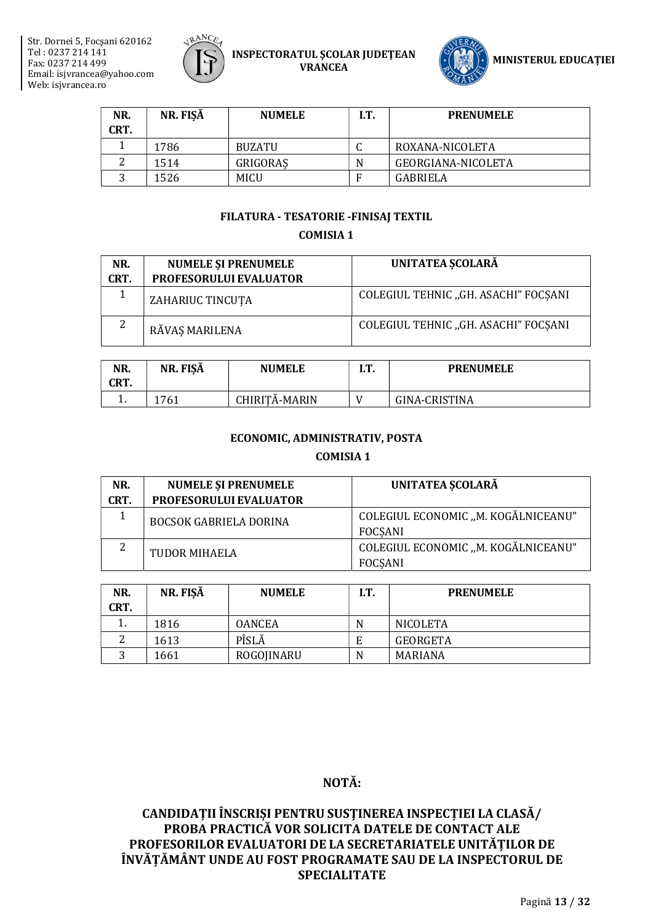



| NR.  | NR. FISĂ | <b>NUMELE</b> | I.T. | <b>PRENUMELE</b>   |
|------|----------|---------------|------|--------------------|
| CRT. |          |               |      |                    |
|      | 1786     | <b>BUZATU</b> |      | ROXANA-NICOLETA    |
|      | 1514     | GRIGORAS      | N    | GEORGIANA-NICOLETA |
|      | 1526     | <b>MICU</b>   | F    | GABRIELA           |

#### FILATURA - TESATORIE -FINISAJ TEXTIL

## **COMISIA 1**

| NR.<br>CRT. | <b>NUMELE ȘI PRENUMELE</b><br>PROFESORULUI EVALUATOR | UNITATEA SCOLARĂ                     |
|-------------|------------------------------------------------------|--------------------------------------|
|             | ZAHARIUC TINCUTA                                     | COLEGIUL TEHNIC "GH. ASACHI" FOCSANI |
| 2           | RĂVAS MARILENA                                       | COLEGIUL TEHNIC "GH. ASACHI" FOCSANI |

| NR.<br>CRT. | NR. FISA | <b>NUMELE</b> | m<br>. | <b>PRENUMELE</b> |
|-------------|----------|---------------|--------|------------------|
| . .         | 1761     | CHIRITA-MARIN |        | GINA-CRISTINA    |

#### ECONOMIC, ADMINISTRATIV, POSTA

#### **COMISIA 1**

| NR.     | <b>NUMELE SI PRENUMELE</b>    | <b>UNITATEA SCOLARĂ</b>                               |
|---------|-------------------------------|-------------------------------------------------------|
| CRT.    | PROFESORULUI EVALUATOR        |                                                       |
|         | <b>BOCSOK GABRIELA DORINA</b> | COLEGIUL ECONOMIC "M. KOGĂLNICEANU"<br><b>FOCSANI</b> |
| ົາ<br>∠ |                               | COLEGIUL ECONOMIC "M. KOGĂLNICEANU"                   |
|         | TUDOR MIHAELA                 | <b>FOCSANI</b>                                        |

| NR.<br>CRT. | NR. FISĂ | <b>NUMELE</b> | I.T. | <b>PRENUMELE</b> |
|-------------|----------|---------------|------|------------------|
| π.          | 1816     | OANCEA        | N    | NICOLETA         |
|             | 1613     | PÎSLĂ         | Е    | GEORGETA         |
|             | 1661     | ROGOJINARU    | N    | MARIANA          |

# NOTĂ: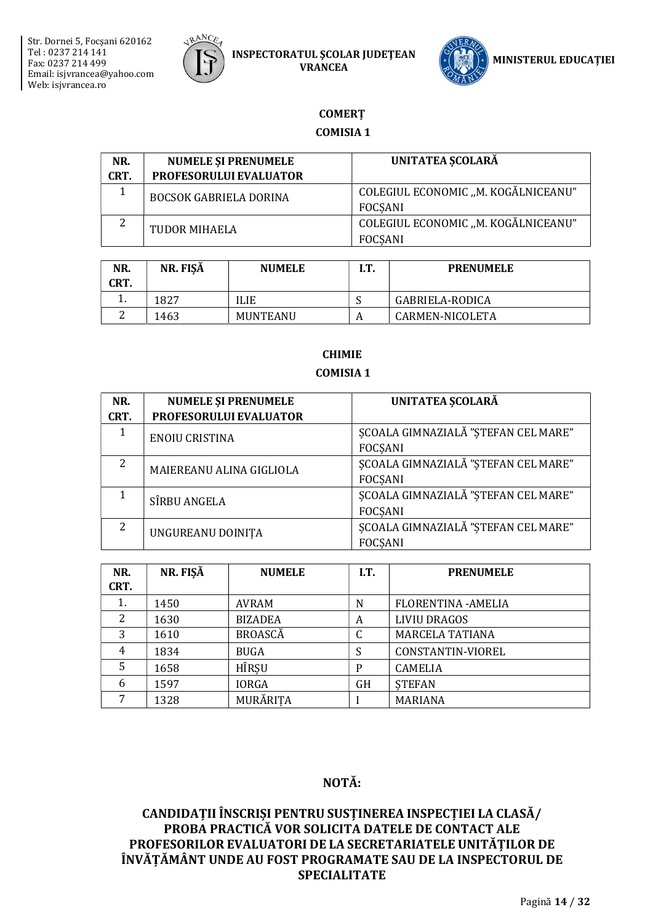



# **COMERT**

## **COMISIA 1**

| NR.  | <b>NUMELE ȘI PRENUMELE</b>    | UNITATEA ȘCOLARĂ                    |  |
|------|-------------------------------|-------------------------------------|--|
| CRT. | PROFESORULUI EVALUATOR        |                                     |  |
|      | <b>BOCSOK GABRIELA DORINA</b> | COLEGIUL ECONOMIC "M. KOGĂLNICEANU" |  |
|      |                               | FOCSANI                             |  |
|      | TUDOR MIHAELA                 | COLEGIUL ECONOMIC "M. KOGĂLNICEANU" |  |
|      |                               | FOCSANI                             |  |

| NR.<br>CRT. | NR. FISĂ | <b>NUMELE</b> | I.T. | <b>PRENUMELE</b> |
|-------------|----------|---------------|------|------------------|
| . .         | 1827     | ILIE          | N    | GABRIELA-RODICA  |
|             | 1463     | MUNTEANU      |      | CARMEN-NICOLETA  |

## **CHIMIE COMISIA 1**

| NR.<br>CRT.    | <b>NUMELE ȘI PRENUMELE</b><br>PROFESORULUI EVALUATOR | UNITATEA ȘCOLARĂ                                             |
|----------------|------------------------------------------------------|--------------------------------------------------------------|
| 1              | <b>ENOIU CRISTINA</b>                                | <b>ŞCOALA GIMNAZIALĂ "ȘTEFAN CEL MARE"</b><br><b>FOCSANI</b> |
| $\overline{2}$ | MAIEREANU ALINA GIGLIOLA                             | <b>ŞCOALA GIMNAZIALĂ "ȘTEFAN CEL MARE"</b><br><b>FOCSANI</b> |
|                | SÎRBU ANGELA                                         | SCOALA GIMNAZIALĂ "STEFAN CEL MARE"<br><b>FOCSANI</b>        |
| 2              | UNGUREANU DOINIȚA                                    | SCOALA GIMNAZIALĂ "STEFAN CEL MARE"<br><b>FOCSANI</b>        |

| NR.<br>CRT. | NR. FIŞĂ | <b>NUMELE</b>  | I.T. | <b>PRENUMELE</b>           |
|-------------|----------|----------------|------|----------------------------|
|             |          |                |      |                            |
| 1.          | 1450     | AVRAM          | N    | <b>FLORENTINA - AMELIA</b> |
| 2           | 1630     | <b>BIZADEA</b> | A    | <b>LIVIU DRAGOS</b>        |
| 3           | 1610     | <b>BROASCĂ</b> | C    | MARCELA TATIANA            |
| 4           | 1834     | BUGA           | S    | CONSTANTIN-VIOREL          |
| .5          | 1658     | HÎRSU          | P    | <b>CAMELIA</b>             |
| 6           | 1597     | <b>IORGA</b>   | GH   | <b>STEFAN</b>              |
|             | 1328     | MURĂRITA       |      | MARIANA                    |

# NOTĂ: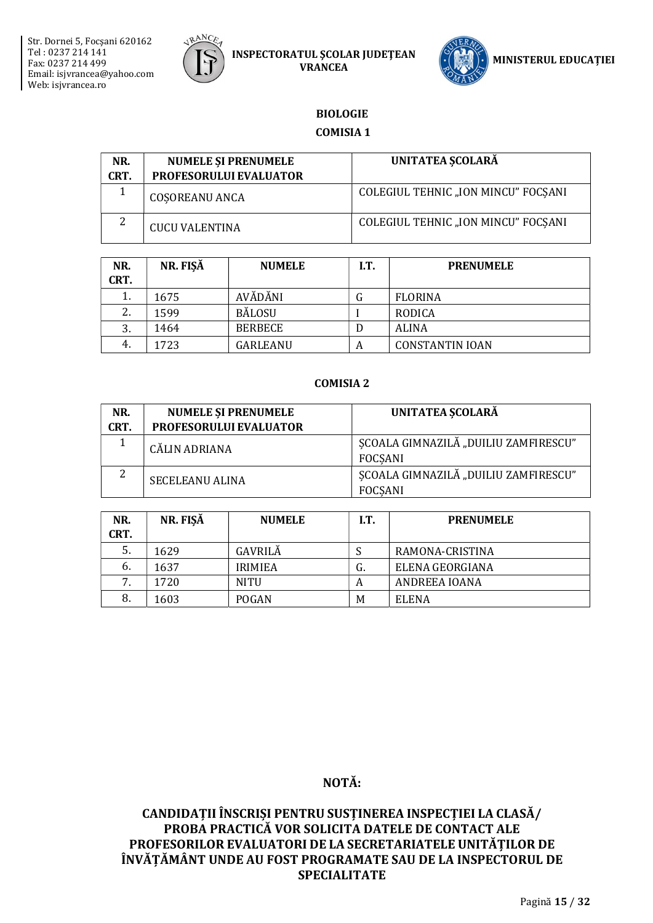



## **BIOLOGIE**

#### **COMISIA 1**

| NR.  | <b>NUMELE SI PRENUMELE</b>    | UNITATEA SCOLARĂ                    |
|------|-------------------------------|-------------------------------------|
| CRT. | <b>PROFESORULUI EVALUATOR</b> |                                     |
|      | <b>COSOREANU ANCA</b>         | COLEGIUL TEHNIC "ION MINCU" FOCSANI |
| 2    | <b>CUCU VALENTINA</b>         | COLEGIUL TEHNIC "ION MINCU" FOCSANI |

| NR.  | NR. FISĂ | <b>NUMELE</b>  | I.T. | <b>PRENUMELE</b>       |
|------|----------|----------------|------|------------------------|
| CRT. |          |                |      |                        |
| 1.   | 1675     | <b>AVĂDĂNI</b> | G    | <b>FLORINA</b>         |
| 2.   | 1599     | <b>BĂLOSU</b>  |      | RODICA                 |
| 3.   | 1464     | <b>BERBECE</b> |      | <b>ALINA</b>           |
| 4.   | 1723     | GARLEANU       | A    | <b>CONSTANTIN IOAN</b> |

#### **COMISIA 2**

| NR.  | <b>NUMELE ȘI PRENUMELE</b> | UNITATEA SCOLARĂ                                       |
|------|----------------------------|--------------------------------------------------------|
| CRT. | PROFESORULUI EVALUATOR     |                                                        |
|      | CĂLIN ADRIANA              | SCOALA GIMNAZILĂ "DUILIU ZAMFIRESCU"<br><b>FOCSANI</b> |
| 2    | <b>SECELEANU ALINA</b>     | SCOALA GIMNAZILĂ "DUILIU ZAMFIRESCU"<br><b>FOCSANI</b> |

| NR.<br>CRT. | NR. FISĂ | <b>NUMELE</b>  | I.T. | <b>PRENUMELE</b> |
|-------------|----------|----------------|------|------------------|
| 5.          | 1629     | GAVRILĂ        |      | RAMONA-CRISTINA  |
| 6.          | 1637     | <b>IRIMIEA</b> | G.   | ELENA GEORGIANA  |
| 7.          | 1720     | <b>NITU</b>    | A    | ANDREEA IOANA    |
| 8.          | 1603     | POGAN          | M    | <b>ELENA</b>     |

# NOTĂ: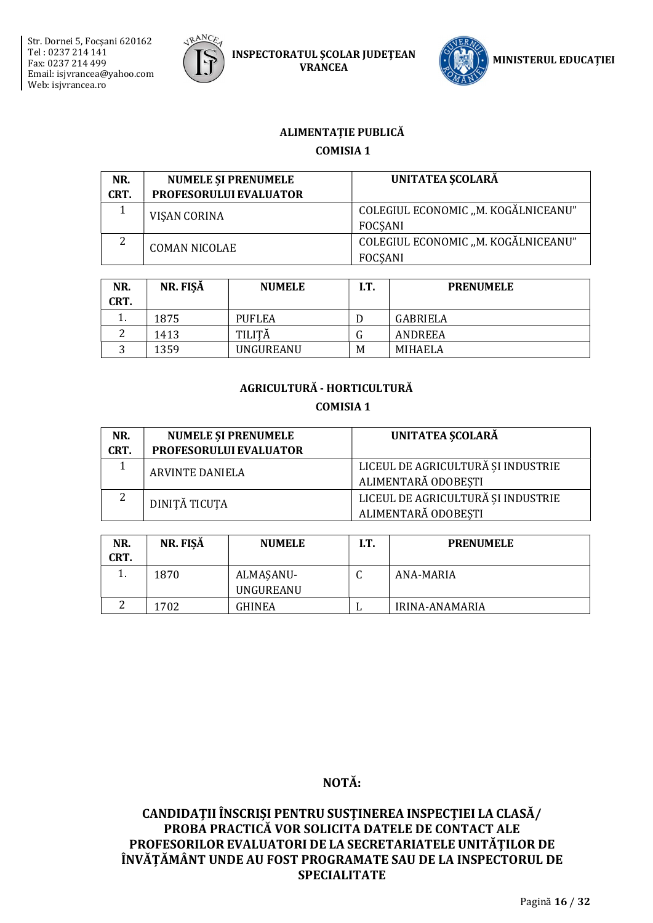



# ALIMENTAȚIE PUBLICĂ

## **COMISIA 1**

| NR.<br>CRT. | <b>NUMELE SI PRENUMELE</b><br>PROFESORULUI EVALUATOR | <b>UNITATEA SCOLARĂ</b>                               |
|-------------|------------------------------------------------------|-------------------------------------------------------|
|             | VISAN CORINA                                         | COLEGIUL ECONOMIC "M. KOGĂLNICEANU"<br><b>FOCSANI</b> |
| 2           | <b>COMAN NICOLAE</b>                                 | COLEGIUL ECONOMIC "M. KOGĂLNICEANU"<br><b>FOCSANI</b> |

| NR.<br>CRT. | NR. FISĂ | <b>NUMELE</b> | IT. | <b>PRENUMELE</b> |
|-------------|----------|---------------|-----|------------------|
|             | 1875     | <b>PUFLEA</b> |     | GABRIELA         |
|             | 1413     | TILITĂ        |     | ANDREEA          |
| ◠           | 1359     | UNGUREANU     | M   | MIHAELA          |

# AGRICULTURĂ - HORTICULTURĂ

#### **COMISIA 1**

| NR.<br>CRT. | <b>NUMELE ȘI PRENUMELE</b><br>PROFESORULUI EVALUATOR | UNITATEA SCOLARĂ                                          |
|-------------|------------------------------------------------------|-----------------------------------------------------------|
|             | <b>ARVINTE DANIELA</b>                               | LICEUL DE AGRICULTURĂ ȘI INDUSTRIE<br>ALIMENTARĂ ODOBEȘTI |
| 2           | DINITĂ TICUTA                                        | LICEUL DE AGRICULTURĂ ȘI INDUSTRIE<br>ALIMENTARĂ ODOBEȘTI |

| NR.<br>CRT. | NR. FIŞĂ | <b>NUMELE</b>          | I.T. | <b>PRENUMELE</b> |
|-------------|----------|------------------------|------|------------------|
|             | 1870     | ALMASANU-<br>UNGUREANU | ◡    | ANA-MARIA        |
| ⌒           | 1702     | <b>GHINEA</b>          | ы    | IRINA-ANAMARIA   |

# NOTĂ: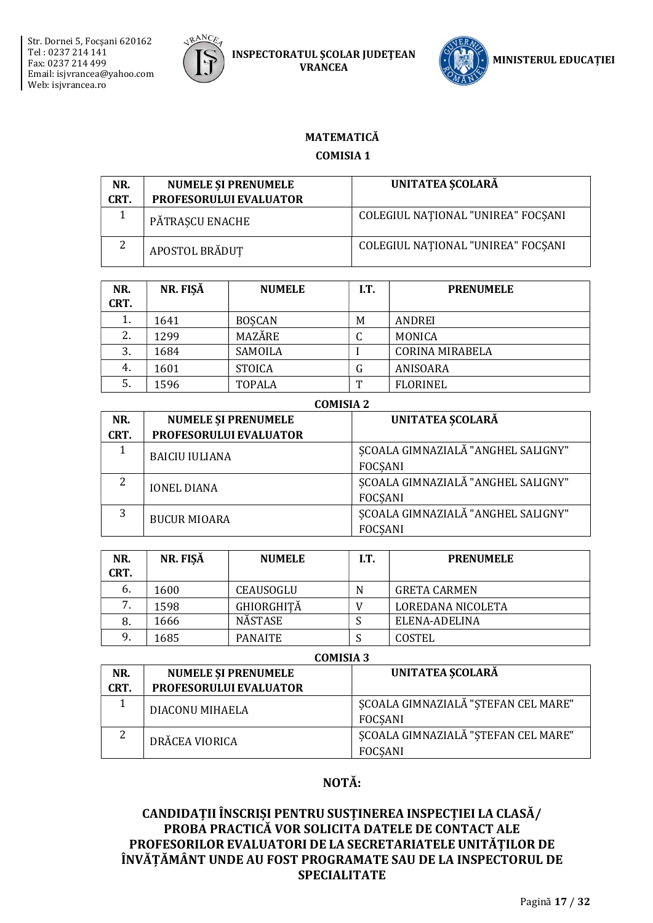



# MATEMATICĂ

# **COMISIA1**

| NR.<br>CRT. | <b>NUMELE SI PRENUMELE</b><br><b>PROFESORULUI EVALUATOR</b> | UNITATEA ȘCOLARĂ                   |
|-------------|-------------------------------------------------------------|------------------------------------|
|             | PĂTRASCU ENACHE                                             | COLEGIUL NAȚIONAL "UNIREA" FOCȘANI |
| 2           | APOSTOL BRĂDUT                                              | COLEGIUL NATIONAL "UNIREA" FOCSANI |

| NR.<br>CRT. | NR. FISĂ | <b>NUMELE</b> | I.T. | <b>PRENUMELE</b>       |
|-------------|----------|---------------|------|------------------------|
| 1.          | 1641     | <b>BOSCAN</b> | M    | ANDREI                 |
| 2.          | 1299     | MAZĂRE        | u    | <b>MONICA</b>          |
| 3.          | 1684     | SAMOILA       |      | <b>CORINA MIRABELA</b> |
| 4.          | 1601     | <b>STOICA</b> | G    | ANISOARA               |
| 5.          | 1596     | <b>TOPALA</b> | m    | <b>FLORINEL</b>        |

| <b>COMISIA 2</b> |                            |                                    |  |  |
|------------------|----------------------------|------------------------------------|--|--|
| NR.              | <b>NUMELE ȘI PRENUMELE</b> | <b>UNITATEA SCOLARĂ</b>            |  |  |
| CRT.             | PROFESORULUI EVALUATOR     |                                    |  |  |
|                  | <b>BAICIU IULIANA</b>      | ȘCOALA GIMNAZIALĂ "ANGHEL SALIGNY" |  |  |
|                  |                            | <b>FOCSANI</b>                     |  |  |
| 2                | <b>IONEL DIANA</b>         | ȘCOALA GIMNAZIALĂ "ANGHEL SALIGNY" |  |  |
|                  |                            | <b>FOCSANI</b>                     |  |  |
| 3                | <b>BUCUR MIOARA</b>        | SCOALA GIMNAZIALĂ "ANGHEL SALIGNY" |  |  |
|                  |                            | <b>FOCSANI</b>                     |  |  |

| NR.<br>CRT. | NR. FISĂ | <b>NUMELE</b>     | I.T. | <b>PRENUMELE</b>    |
|-------------|----------|-------------------|------|---------------------|
| 6.          | 1600     | CEAUSOGLU         | N    | <b>GRETA CARMEN</b> |
|             | 1598     | <b>GHIORGHITĂ</b> |      | LOREDANA NICOLETA   |
| 8.          | 1666     | <b>NÄSTASE</b>    |      | ELENA-ADELINA       |
| 9.          | 1685     | <b>PANAITE</b>    |      | COSTEL              |

## COMICIA 2

| NR.  | <b>NUMELE SI PRENUMELE</b> | UNITATEA SCOLARĂ                    |
|------|----------------------------|-------------------------------------|
| CRT. | PROFESORULUI EVALUATOR     |                                     |
|      | DIACONU MIHAELA            | SCOALA GIMNAZIALĂ "STEFAN CEL MARE" |
|      |                            | FOCSANI                             |
|      | DRĂCEA VIORICA             | SCOALA GIMNAZIALĂ "STEFAN CEL MARE" |
|      |                            | <b>FOCSANI</b>                      |

# NOTĂ: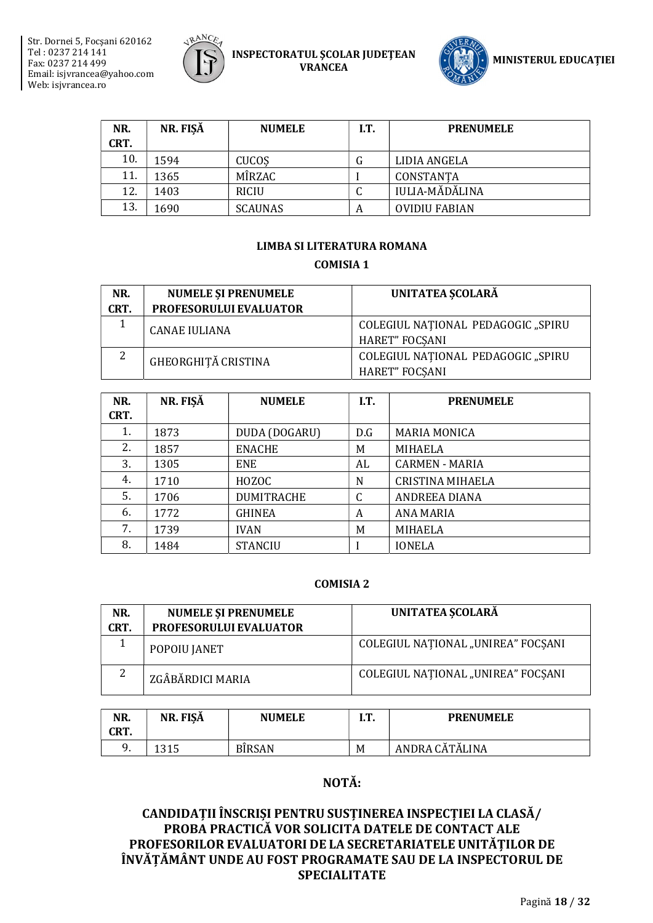



| NR.  | NR. FISĂ | <b>NUMELE</b>  | I.T. | <b>PRENUMELE</b>      |
|------|----------|----------------|------|-----------------------|
| CRT. |          |                |      |                       |
| 10.  | 1594     | <b>CUCOS</b>   | tт   | LIDIA ANGELA          |
| 11.  | 1365     | MÎRZAC         |      | CONSTANTA             |
| 12.  | 1403     | <b>RICIU</b>   |      | <b>IULIA-MĂDĂLINA</b> |
| 13.  | 1690     | <b>SCAUNAS</b> | A    | <b>OVIDIU FABIAN</b>  |

# LIMBA SI LITERATURA ROMANA **COMISIA 1**

| NR.  | <b>NUMELE SI PRENUMELE</b> | UNITATEA SCOLARĂ                                            |
|------|----------------------------|-------------------------------------------------------------|
| CRT. | PROFESORULUI EVALUATOR     |                                                             |
|      | <b>CANAE IULIANA</b>       | COLEGIUL NATIONAL PEDAGOGIC "SPIRU<br><b>HARET" FOCSANI</b> |
| 2    | GHEORGHITĂ CRISTINA        | COLEGIUL NATIONAL PEDAGOGIC "SPIRU<br><b>HARET" FOCSANI</b> |

| NR.  | NR. FISĂ | <b>NUMELE</b>     | I.T. | <b>PRENUMELE</b>        |
|------|----------|-------------------|------|-------------------------|
| CRT. |          |                   |      |                         |
| 1.   | 1873     | DUDA (DOGARU)     | D.G  | <b>MARIA MONICA</b>     |
| 2.   | 1857     | <b>ENACHE</b>     | M    | MIHAELA                 |
| 3.   | 1305     | <b>ENE</b>        | AL   | CARMEN - MARIA          |
| 4.   | 1710     | HOZOC             | N    | <b>CRISTINA MIHAELA</b> |
| 5.   | 1706     | <b>DUMITRACHE</b> | C    | <b>ANDREEA DIANA</b>    |
| 6.   | 1772     | <b>GHINEA</b>     | A    | ANA MARIA               |
| 7.   | 1739     | <b>IVAN</b>       | M    | <b>MIHAELA</b>          |
| 8.   | 1484     | <b>STANCIU</b>    |      | <b>IONELA</b>           |

#### **COMISIA 2**

| NR.<br>CRT. | <b>NUMELE SI PRENUMELE</b><br><b>PROFESORULUI EVALUATOR</b> | UNITATEA SCOLARĂ                   |
|-------------|-------------------------------------------------------------|------------------------------------|
|             | POPOIU JANET                                                | COLEGIUL NAȚIONAL "UNIREA" FOCȘANI |
| 2           | ZGÂBĂRDICI MARIA                                            | COLEGIUL NAȚIONAL "UNIREA" FOCȘANI |

| NR.<br>CRT. | ັ<br>NR. FISA   | <b>NUMELE</b> | m<br> | <b>PRENUMELE</b> |
|-------------|-----------------|---------------|-------|------------------|
| q<br>, .    | 1 2 1 F<br>LJIJ | <b>BÎRSAN</b> | M     | ANDRA CĂTĂLINA   |

# NOTĂ: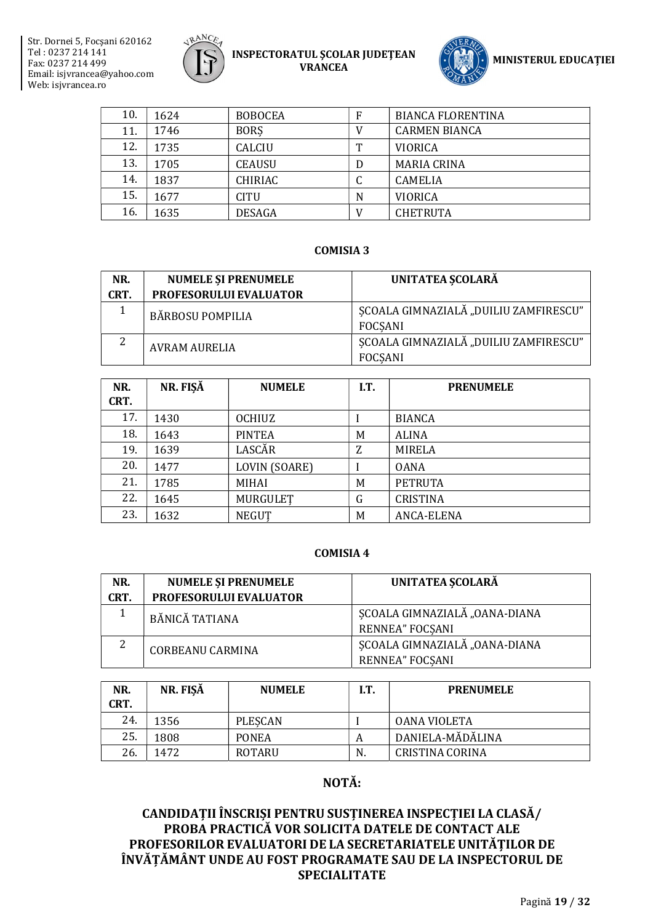



| 10. | 1624 | <b>BOBOCEA</b> | F | <b>BIANCA FLORENTINA</b> |
|-----|------|----------------|---|--------------------------|
| 11. | 1746 | <b>BORS</b>    |   | <b>CARMEN BIANCA</b>     |
| 12. | 1735 | CALCIU         | m | <b>VIORICA</b>           |
| 13. | 1705 | <b>CEAUSU</b>  |   | <b>MARIA CRINA</b>       |
| 14. | 1837 | CHIRIAC        |   | <b>CAMELIA</b>           |
| 15. | 1677 | <b>CITU</b>    | N | <b>VIORICA</b>           |
| 16. | 1635 | <b>DESAGA</b>  |   | <b>CHETRUTA</b>          |

#### **COMISIA 3**

| NR.  | <b>NUMELE SI PRENUMELE</b> | UNITATEA SCOLARĂ                                        |
|------|----------------------------|---------------------------------------------------------|
| CRT. | PROFESORULUI EVALUATOR     |                                                         |
|      | <b>BĂRBOSU POMPILIA</b>    | SCOALA GIMNAZIALĂ "DUILIU ZAMFIRESCU"<br>FOCSANI        |
| ົາ   | <b>AVRAM AURELIA</b>       | SCOALA GIMNAZIALĂ "DUILIU ZAMFIRESCU"<br><b>FOCSANI</b> |

| NR.  | NR. FISĂ | <b>NUMELE</b> | I.T. | <b>PRENUMELE</b> |
|------|----------|---------------|------|------------------|
| CRT. |          |               |      |                  |
| 17.  | 1430     | <b>OCHIUZ</b> |      | <b>BIANCA</b>    |
| 18.  | 1643     | <b>PINTEA</b> | M    | <b>ALINA</b>     |
| 19.  | 1639     | LASCĂR        | Z    | <b>MIRELA</b>    |
| 20.  | 1477     | LOVIN (SOARE) |      | <b>OANA</b>      |
| 21.  | 1785     | MIHAI         | M    | <b>PETRUTA</b>   |
| 22.  | 1645     | MURGULET      | G    | <b>CRISTINA</b>  |
| 23.  | 1632     | <b>NEGUT</b>  | M    | ANCA-ELENA       |

#### **COMISIA 4**

| NR.  | <b>NUMELE ȘI PRENUMELE</b> | UNITATEA SCOLARĂ              |  |
|------|----------------------------|-------------------------------|--|
| CRT. | PROFESORULUI EVALUATOR     |                               |  |
|      | BĂNICĂ TATIANA             | SCOALA GIMNAZIALĂ "OANA-DIANA |  |
|      |                            | <b>RENNEA" FOCSANI</b>        |  |
| 2    | <b>CORBEANU CARMINA</b>    | SCOALA GIMNAZIALĂ "OANA-DIANA |  |
|      |                            | <b>RENNEA" FOCSANI</b>        |  |

| NR.<br>CRT. | NR. FISĂ | <b>NUMELE</b> | I.T. | <b>PRENUMELE</b>       |
|-------------|----------|---------------|------|------------------------|
| 24.         | 1356     | PLESCAN       |      | OANA VIOLETA           |
| 25.         | 1808     | <b>PONEA</b>  | А    | DANIELA-MĂDĂLINA       |
| 26.         | 1472     | ROTARU        | N.   | <b>CRISTINA CORINA</b> |

# NOTĂ: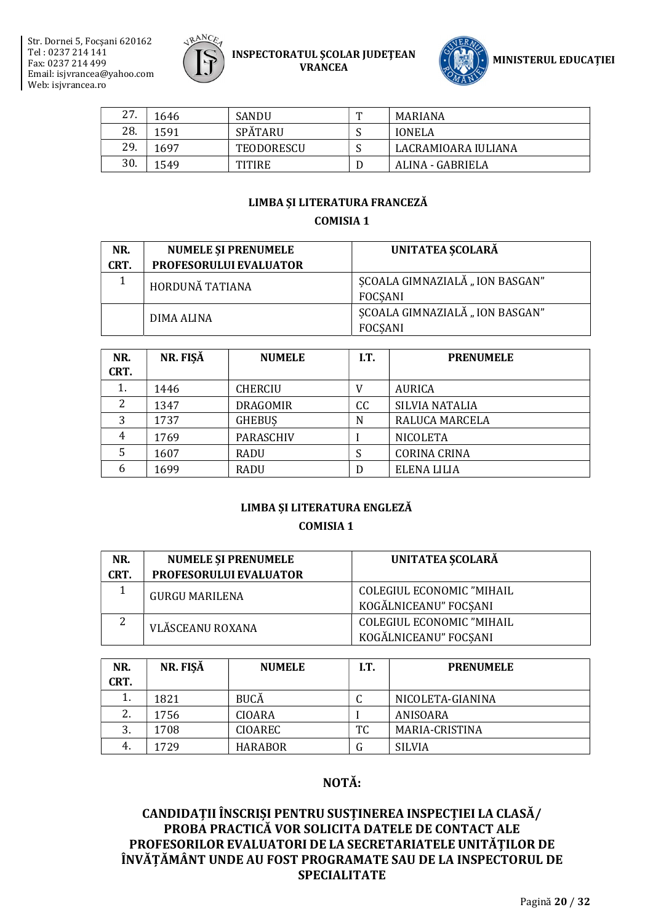



| 27. | 1646 | <b>SANDU</b>   | m | MARIANA             |
|-----|------|----------------|---|---------------------|
| 28. | 1591 | <b>SPÄTARU</b> |   | <b>IONELA</b>       |
| 29. | 1697 | TEODORESCU     |   | LACRAMIOARA IULIANA |
| 30. | 1549 | TITIRE         |   | ALINA - GABRIELA    |

#### LIMBA ȘI LITERATURA FRANCEZĂ

#### **COMISIA 1**

| NR.<br>CRT. | <b>NUMELE SI PRENUMELE</b><br>PROFESORULUI EVALUATOR | UNITATEA SCOLARĂ                                 |
|-------------|------------------------------------------------------|--------------------------------------------------|
|             | HORDUNĂ TATIANA                                      | SCOALA GIMNAZIALĂ "ION BASGAN"<br><b>FOCSANI</b> |
|             | DIMA ALINA                                           | SCOALA GIMNAZIALĂ "ION BASGAN"<br><b>FOCSANI</b> |

| NR.<br>CRT. | NR. FIŞĂ | <b>NUMELE</b>    | I.T. | <b>PRENUMELE</b>    |
|-------------|----------|------------------|------|---------------------|
| 1.          | 1446     | <b>CHERCIU</b>   | V    | <b>AURICA</b>       |
|             | 1347     | <b>DRAGOMIR</b>  | СC   | SILVIA NATALIA      |
| 3           | 1737     | <b>GHEBUS</b>    | N    | RALUCA MARCELA      |
| 4           | 1769     | <b>PARASCHIV</b> |      | <b>NICOLETA</b>     |
|             | 1607     | RADU             | S    | <b>CORINA CRINA</b> |
| 6           | 1699     | <b>RADU</b>      | D    | ELENA LILIA         |

# LIMBA ȘI LITERATURA ENGLEZĂ

#### **COMISIA 1**

| NR.  | <b>NUMELE ȘI PRENUMELE</b> | UNITATEA SCOLARĂ          |
|------|----------------------------|---------------------------|
| CRT. | PROFESORULUI EVALUATOR     |                           |
|      | <b>GURGU MARILENA</b>      | COLEGIUL ECONOMIC "MIHAIL |
|      |                            | KOGĂLNICEANU" FOCSANI     |
| 2    | VLĂSCEANU ROXANA           | COLEGIUL ECONOMIC "MIHAIL |
|      |                            | KOGĂLNICEANU" FOCSANI     |

| NR.<br>CRT. | NR. FISĂ | <b>NUMELE</b>  | I.T. | <b>PRENUMELE</b> |
|-------------|----------|----------------|------|------------------|
| 1.          | 1821     | <b>BUCĂ</b>    |      | NICOLETA-GIANINA |
| 2.          | 1756     | CIOARA         |      | ANISOARA         |
| 3.          | 1708     | <b>CIOAREC</b> | TC   | MARIA-CRISTINA   |
| 4.          | 1729     | <b>HARABOR</b> | G    | <b>SILVIA</b>    |

# NOTĂ: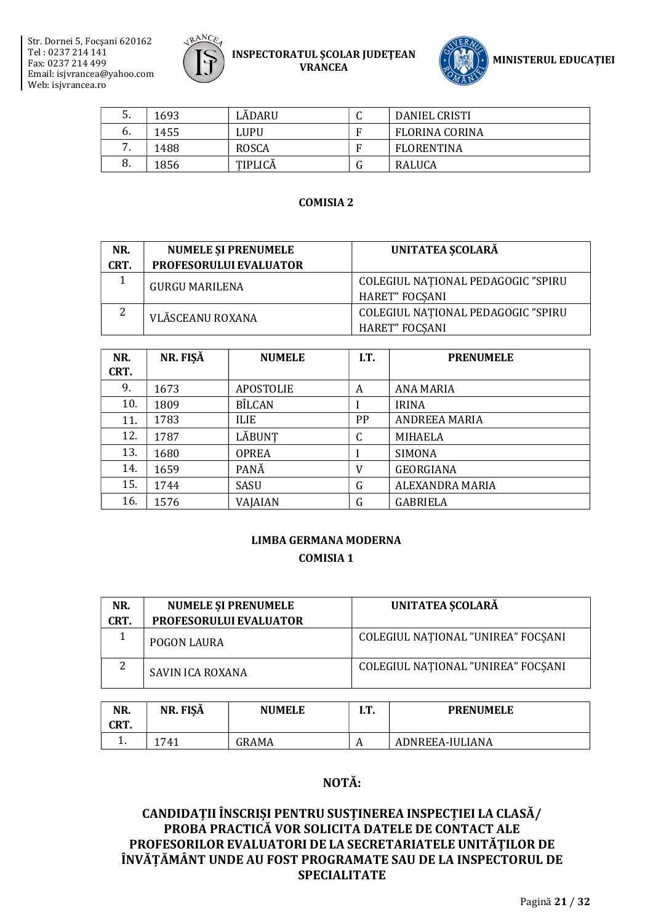



| 5.  | 1693 | LĂDARU  | ີ | <b>DANIEL CRISTI</b>  |
|-----|------|---------|---|-----------------------|
| b.  | 1455 | LUPU    |   | <b>FLORINA CORINA</b> |
| . . | 1488 | ROSCA   |   | FLORENTINA            |
| 8.  | 1856 | TIPLICĂ |   | RALUCA                |

#### COMISIA 2

| NR.  | <b>NUMELE ȘI PRENUMELE</b>    | UNITATEA SCOLARĂ                   |
|------|-------------------------------|------------------------------------|
| CRT. | <b>PROFESORULUI EVALUATOR</b> |                                    |
|      | <b>GURGU MARILENA</b>         | COLEGIUL NATIONAL PEDAGOGIC "SPIRU |
|      |                               | <b>HARET" FOCSANI</b>              |
| 2    | VLĂSCEANU ROXANA              | COLEGIUL NATIONAL PEDAGOGIC "SPIRU |
|      |                               | HARET" FOCSANI                     |

| NR.  | NR. FISĂ | <b>NUMELE</b> | I.T.      | <b>PRENUMELE</b>     |
|------|----------|---------------|-----------|----------------------|
| CRT. |          |               |           |                      |
| 9.   | 1673     | APOSTOLIE     | A         | ANA MARIA            |
| 10.  | 1809     | <b>BÎLCAN</b> |           | <b>IRINA</b>         |
| 11.  | 1783     | <b>ILIE</b>   | <b>PP</b> | <b>ANDREEA MARIA</b> |
| 12.  | 1787     | LĂBUNT        | ◠         | MIHAELA              |
| 13.  | 1680     | <b>OPREA</b>  |           | <b>SIMONA</b>        |
| 14.  | 1659     | PANĂ          | V         | <b>GEORGIANA</b>     |
| 15.  | 1744     | SASU          | G         | ALEXANDRA MARIA      |
| 16.  | 1576     | VAJAIAN       | G         | <b>GABRIELA</b>      |

# LIMBA GERMANA MODERNA COMISIA 1

| NR.  | <b>NUMELE ȘI PRENUMELE</b>    | <b>UNITATEA SCOLARĂ</b>            |
|------|-------------------------------|------------------------------------|
| CRT. | <b>PROFESORULUI EVALUATOR</b> |                                    |
|      | <b>POGON LAURA</b>            | COLEGIUL NATIONAL "UNIREA" FOCSANI |
|      | <b>SAVIN ICA ROXANA</b>       | COLEGIUL NATIONAL "UNIREA" FOCSANI |

| NR.<br>CRT. | ັ<br>NR. FISA | <b>NUMELE</b> | m<br> | <b>PRENUMELE</b> |
|-------------|---------------|---------------|-------|------------------|
| . .         | 1741          | GRAMA         | n     | ADNREEA-IULIANA  |

# NOTĂ: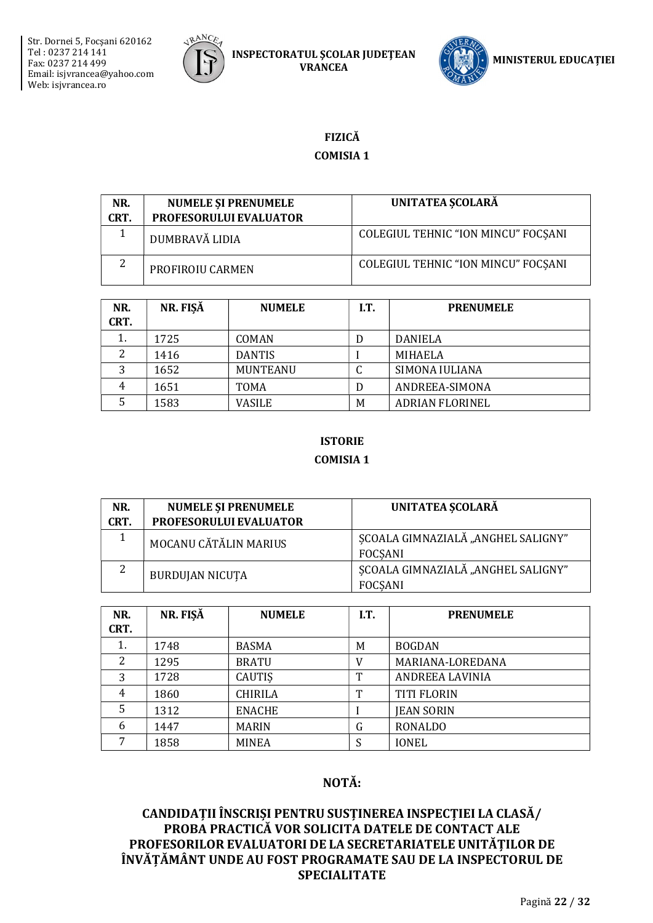



# **FIZICĂ**

# **COMISIA1**

| NR.<br>CRT. | <b>NUMELE ȘI PRENUMELE</b><br>PROFESORULUI EVALUATOR | UNITATEA SCOLARĂ                    |
|-------------|------------------------------------------------------|-------------------------------------|
|             | DUMBRAVĂ LIDIA                                       | COLEGIUL TEHNIC "ION MINCU" FOCSANI |
| 2           | PROFIROIU CARMEN                                     | COLEGIUL TEHNIC "ION MINCU" FOCSANI |

| NR.<br>CRT. | NR. FISĂ | <b>NUMELE</b>   | I.T. | <b>PRENUMELE</b>       |
|-------------|----------|-----------------|------|------------------------|
|             | 1725     | <b>COMAN</b>    | D    | <b>DANIELA</b>         |
|             | 1416     | <b>DANTIS</b>   |      | <b>MIHAELA</b>         |
| 3           | 1652     | <b>MUNTEANU</b> | u    | SIMONA IULIANA         |
| 4           | 1651     | <b>TOMA</b>     | D    | ANDREEA-SIMONA         |
|             | 1583     | VASILE          | M    | <b>ADRIAN FLORINEL</b> |

# **ISTORIE COMISIA 1**

| NR.<br>CRT. | <b>NUMELE SI PRENUMELE</b><br>PROFESORULUI EVALUATOR | UNITATEA SCOLARĂ                                     |
|-------------|------------------------------------------------------|------------------------------------------------------|
|             | MOCANU CĂTĂLIN MARIUS                                | SCOALA GIMNAZIALĂ "ANGHEL SALIGNY"<br><b>FOCSANI</b> |
| 2           | <b>BURDUJAN NICUTA</b>                               | SCOALA GIMNAZIALĂ "ANGHEL SALIGNY"<br><b>FOCSANI</b> |

| NR.<br>CRT. | NR. FISĂ | <b>NUMELE</b>  | I.T. | <b>PRENUMELE</b>   |
|-------------|----------|----------------|------|--------------------|
| 1.          | 1748     | <b>BASMA</b>   | M    | <b>BOGDAN</b>      |
| 2           | 1295     | <b>BRATU</b>   | V    | MARIANA-LOREDANA   |
| 3           | 1728     | CAUTIS         | T    | ANDREEA LAVINIA    |
| 4           | 1860     | <b>CHIRILA</b> | т    | <b>TITI FLORIN</b> |
| 5           | 1312     | <b>ENACHE</b>  |      | <b>JEAN SORIN</b>  |
| 6           | 1447     | <b>MARIN</b>   | G    | RONALDO            |
|             | 1858     | <b>MINEA</b>   |      | <b>IONEL</b>       |

# NOTĂ: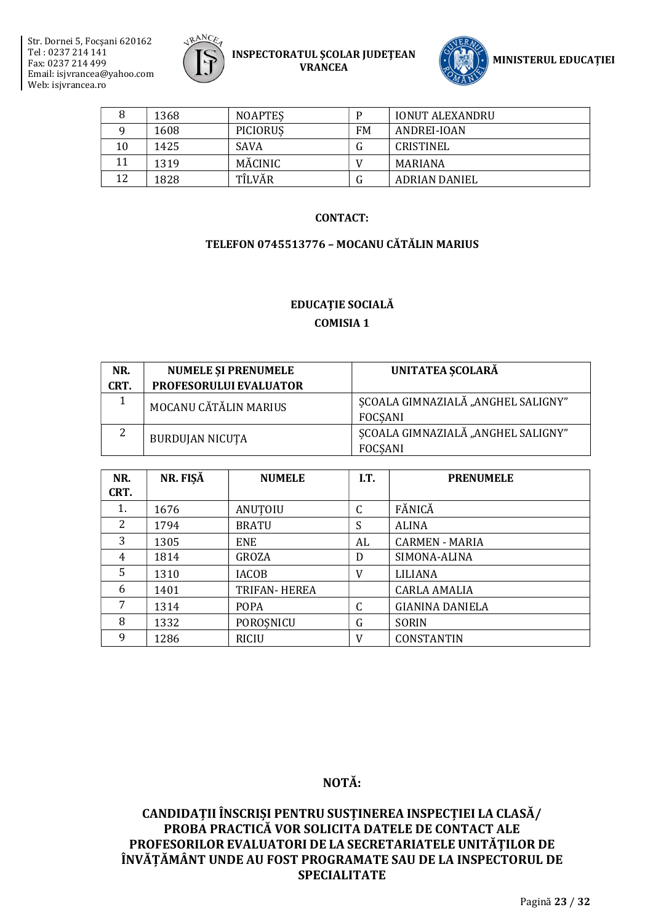



|    | 1368 | <b>NOAPTES</b> |           | <b>IONUT ALEXANDRU</b> |
|----|------|----------------|-----------|------------------------|
|    | 1608 | PICIORUS       | <b>FM</b> | ANDREI-IOAN            |
| 10 | 1425 | <b>SAVA</b>    | lт        | CRISTINEL              |
| 11 | 1319 | MĂCINIC        |           | MARIANA                |
| 12 | 1828 | TÎLVĂR         | lт        | ADRIAN DANIEL          |

#### **CONTACT:**

#### TELEFON 0745513776 - MOCANU CĂTĂLIN MARIUS

## EDUCAȚIE SOCIALĂ **COMISIA 1**

| NR.<br>CRT. | <b>NUMELE SI PRENUMELE</b><br>PROFESORULUI EVALUATOR | UNITATEA ȘCOLARĂ                                     |
|-------------|------------------------------------------------------|------------------------------------------------------|
|             | MOCANU CĂTĂLIN MARIUS                                | SCOALA GIMNAZIALĂ "ANGHEL SALIGNY"<br><b>FOCSANI</b> |
|             | <b>BURDUJAN NICUTA</b>                               | SCOALA GIMNAZIALĂ "ANGHEL SALIGNY"<br><b>FOCSANI</b> |

| NR.            | NR. FIŞĂ | <b>NUMELE</b> | I.T. | <b>PRENUMELE</b>       |
|----------------|----------|---------------|------|------------------------|
| CRT.           |          |               |      |                        |
| 1.             | 1676     | ANUTOIU       | C    | FĂNICĂ                 |
| $\overline{2}$ | 1794     | <b>BRATU</b>  | S    | <b>ALINA</b>           |
| 3              | 1305     | <b>ENE</b>    | AL   | CARMEN - MARIA         |
| 4              | 1814     | GROZA         | D    | SIMONA-ALINA           |
| 5              | 1310     | IACOB         | V    | LILIANA                |
| 6              | 1401     | TRIFAN- HEREA |      | CARLA AMALIA           |
| 7              | 1314     | <b>POPA</b>   | C    | <b>GIANINA DANIELA</b> |
| 8              | 1332     | POROȘNICU     | G    | <b>SORIN</b>           |
| 9              | 1286     | <b>RICIU</b>  | V    | CONSTANTIN             |

# NOTĂ: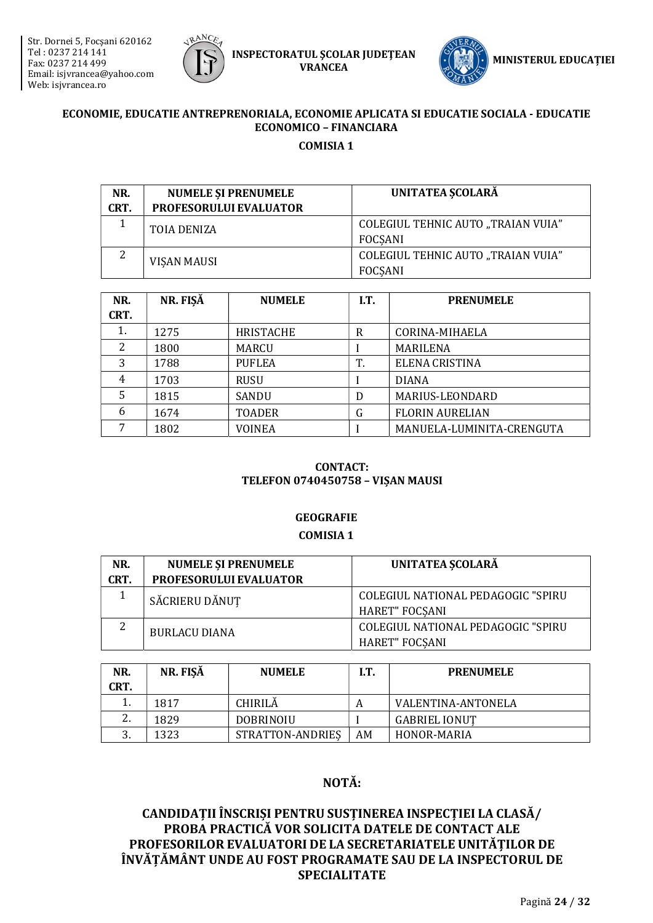



## ECONOMIE, EDUCATIE ANTREPRENORIALA, ECONOMIE APLICATA SI EDUCATIE SOCIALA - EDUCATIE **ECONOMICO - FINANCIARA COMISIA 1**

| NR.  | <b>NUMELE SI PRENUMELE</b>    | <b>UNITATEA SCOLARĂ</b>                              |
|------|-------------------------------|------------------------------------------------------|
| CRT. | <b>PROFESORULUI EVALUATOR</b> |                                                      |
|      | TOIA DENIZA                   | <b>COLEGIUL TEHNIC AUTO "TRAIAN VUIA"</b><br>FOCSANI |
|      | <b>VISAN MAUSI</b>            | COLEGIUL TEHNIC AUTO "TRAIAN VUIA"<br><b>FOCSANI</b> |

| NR.<br>CRT. | NR. FIŞĂ | <b>NUMELE</b>    | I.T. | <b>PRENUMELE</b>          |
|-------------|----------|------------------|------|---------------------------|
| 1.          | 1275     | <b>HRISTACHE</b> | R    | CORINA-MIHAELA            |
| 2           | 1800     | <b>MARCU</b>     |      | MARILENA                  |
| 3           | 1788     | <b>PUFLEA</b>    | T.   | ELENA CRISTINA            |
| 4           | 1703     | RUSU             |      | <b>DIANA</b>              |
| 5           | 1815     | <b>SANDU</b>     | D    | MARIUS-LEONDARD           |
| 6           | 1674     | <b>TOADER</b>    | G    | <b>FLORIN AURELIAN</b>    |
| 7           | 1802     | <b>VOINEA</b>    |      | MANUELA-LUMINITA-CRENGUTA |

#### **CONTACT: TELEFON 0740450758 - VISAN MAUSI**

# **GEOGRAFIE**

#### **COMISIA 1**

| NR.  | <b>NUMELE SI PRENUMELE</b>    | UNITATEA SCOLARĂ                   |
|------|-------------------------------|------------------------------------|
| CRT. | <b>PROFESORULUI EVALUATOR</b> |                                    |
|      | SĂCRIERU DĂNUȚ                | COLEGIUL NATIONAL PEDAGOGIC "SPIRU |
|      |                               | <b>HARET" FOCSANI</b>              |
| 2    | <b>BURLACU DIANA</b>          | COLEGIUL NATIONAL PEDAGOGIC "SPIRU |
|      |                               | <b>HARET" FOCSANI</b>              |

| NR.<br>CRT. | NR. FISĂ | <b>NUMELE</b>    | I.T. | <b>PRENUMELE</b>     |
|-------------|----------|------------------|------|----------------------|
| <b>.</b>    | 1817     | <b>CHIRILĂ</b>   | A    | VALENTINA-ANTONELA   |
|             | 1829     | DOBRINOIU        |      | <b>GABRIEL IONUT</b> |
|             | 1323     | STRATTON-ANDRIES | AΜ   | HONOR-MARIA          |

# NOTĂ: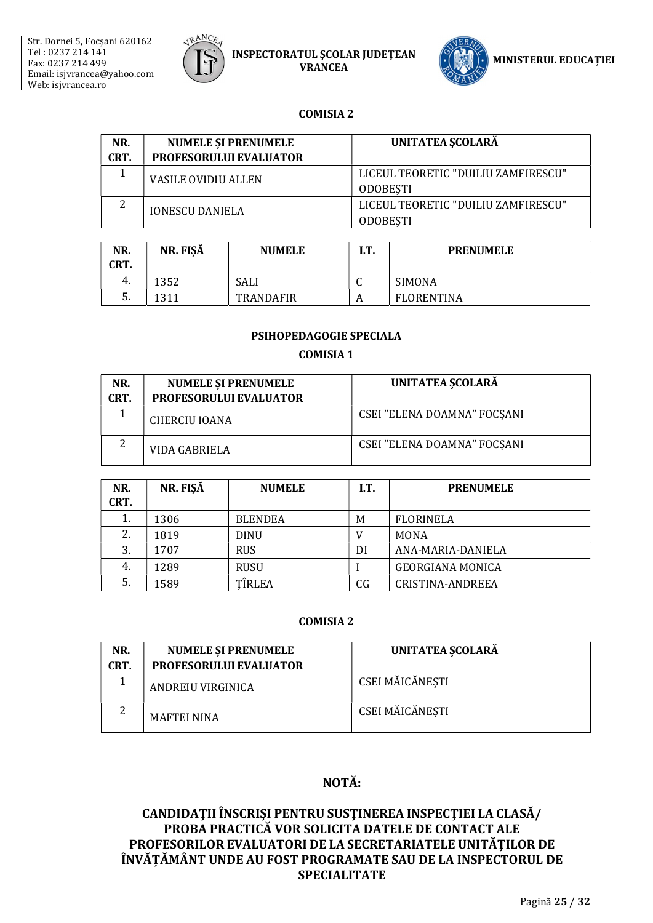



#### **COMISIA 2**

| NR.<br>CRT. | <b>NUMELE SI PRENUMELE</b><br><b>PROFESORULUI EVALUATOR</b> | UNITATEA SCOLARĂ                                       |
|-------------|-------------------------------------------------------------|--------------------------------------------------------|
|             | <b>VASILE OVIDIU ALLEN</b>                                  | LICEUL TEORETIC "DUILIU ZAMFIRESCU"<br><b>ODOBESTI</b> |
| ົາ          | <b>IONESCU DANIELA</b>                                      | LICEUL TEORETIC "DUILIU ZAMFIRESCU"<br><b>ODOBESTI</b> |

| NR.<br>CRT. | NR. FISĂ | <b>NUMELE</b>    | I.T. | <b>PRENUMELE</b> |
|-------------|----------|------------------|------|------------------|
| 4.          | 1352     | SALI             | ີ    | SIMONA           |
| .כ          | 1311     | <b>TRANDAFIR</b> | А    | FLORENTINA       |

#### PSIHOPEDAGOGIE SPECIALA

#### **COMISIA 1**

| NR.<br>CRT. | <b>NUMELE ȘI PRENUMELE</b><br><b>PROFESORULUI EVALUATOR</b> | UNITATEA SCOLARĂ            |
|-------------|-------------------------------------------------------------|-----------------------------|
|             | CHERCIU IOANA                                               | CSEI "ELENA DOAMNA" FOCSANI |
|             | VIDA GABRIELA                                               | CSEI "ELENA DOAMNA" FOCSANI |

| NR.<br>CRT. | NR. FISĂ | <b>NUMELE</b>  | I.T. | <b>PRENUMELE</b>        |
|-------------|----------|----------------|------|-------------------------|
| 1.          | 1306     | <b>BLENDEA</b> | M    | <b>FLORINELA</b>        |
| 2.          | 1819     | <b>DINU</b>    | V    | <b>MONA</b>             |
| 3.          | 1707     | <b>RUS</b>     | DI   | ANA-MARIA-DANIELA       |
| 4.          | 1289     | <b>RUSU</b>    |      | <b>GEORGIANA MONICA</b> |
| 5.          | 1589     | TÎRLEA         | CG   | CRISTINA-ANDREEA        |

#### **COMISIA 2**

| NR.  | <b>NUMELE SI PRENUMELE</b>    | UNITATEA SCOLARĂ |
|------|-------------------------------|------------------|
| CRT. | <b>PROFESORULUI EVALUATOR</b> |                  |
|      | ANDREIU VIRGINICA             | CSEI MĂICĂNESTI  |
|      | <b>MAFTEI NINA</b>            | CSEI MĂICĂNESTI  |

# NOTĂ: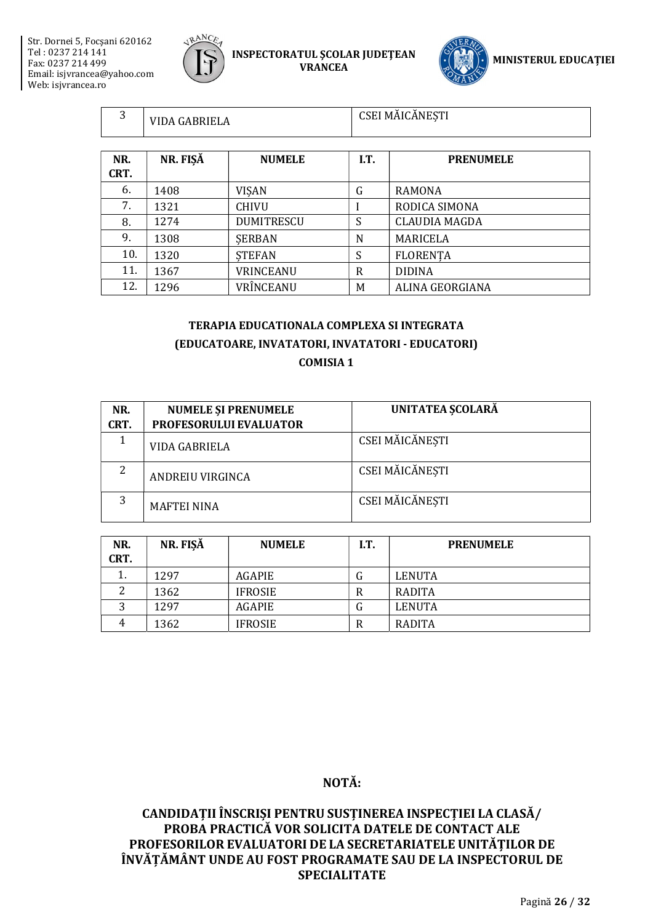$\mathbf{r}$ 



INSPECTORATUL ŞCOLAR JUDEŢEAN VRANCEA



| 3           | VIDA GABRIELA |                   | CSEI MĂICĂNEȘTI |                      |
|-------------|---------------|-------------------|-----------------|----------------------|
| NR.<br>CRT. | NR. FIŞĂ      | <b>NUMELE</b>     | I.T.            | <b>PRENUMELE</b>     |
| 6.          | 1408          | <b>VISAN</b>      | G               | RAMONA               |
| 7.          | 1321          | <b>CHIVU</b>      |                 | RODICA SIMONA        |
| 8.          | 1274          | <b>DUMITRESCU</b> | S               | <b>CLAUDIA MAGDA</b> |
| 9.          | 1308          | <b>SERBAN</b>     | N               | MARICELA             |
| 10.         | 1320          | <b>STEFAN</b>     | S               | <b>FLORENTA</b>      |
| 11.         | 1367          | VRINCEANU         | R               | <b>DIDINA</b>        |
| 12.         | 1296          | VRÎNCEANU         | M               | ALINA GEORGIANA      |

# TERAPIA EDUCATIONALA COMPLEXA SI INTEGRATA (EDUCATOARE, INVATATORI, INVATATORI - EDUCATORI) COMISIA 1

| NR.  | <b>NUMELE ȘI PRENUMELE</b> | UNITATEA SCOLARĂ |
|------|----------------------------|------------------|
| CRT. | PROFESORULUI EVALUATOR     |                  |
|      | VIDA GABRIELA              | CSEI MĂICĂNESTI  |
| 2    | ANDREIU VIRGINCA           | CSEI MĂICĂNESTI  |
| 3    | <b>MAFTEI NINA</b>         | CSEI MĂICĂNESTI  |

| NR.<br>CRT. | NR. FIŞĂ | <b>NUMELE</b>  | I.T. | <b>PRENUMELE</b> |
|-------------|----------|----------------|------|------------------|
| <b>.</b>    | 1297     | AGAPIE         | G    | LENUTA           |
|             | 1362     | <b>IFROSIE</b> | R    | RADITA           |
|             | 1297     | <b>AGAPIE</b>  | G    | LENUTA           |
| 4           | 1362     | <b>IFROSIE</b> | R    | RADITA           |

# NOTĂ: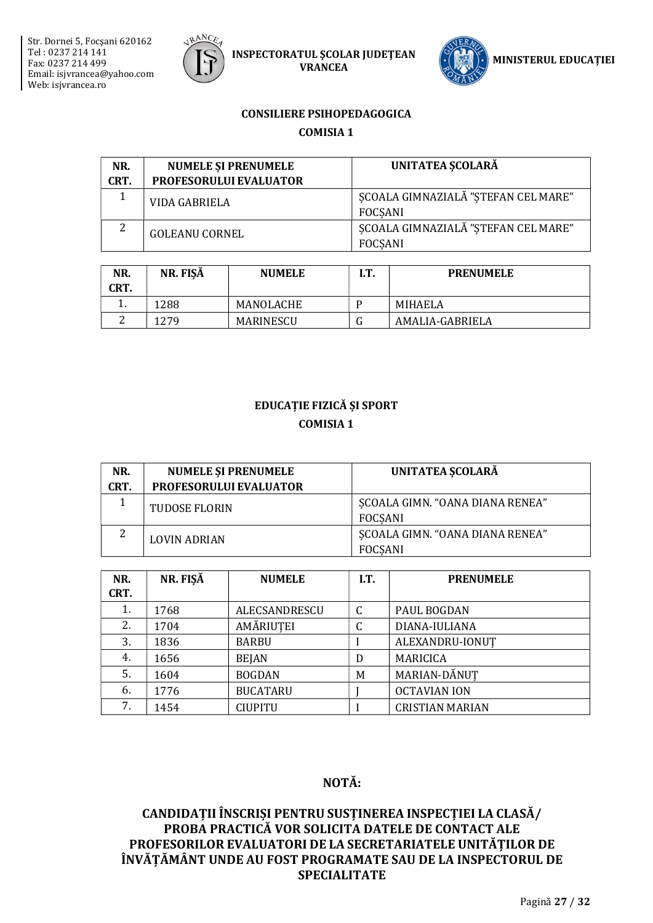



#### **CONSILIERE PSIHOPEDAGOGICA**

**COMISIA 1** 

| NR.  | <b>NUMELE ȘI PRENUMELE</b>    | UNITATEA SCOLARĂ                                      |
|------|-------------------------------|-------------------------------------------------------|
| CRT. | <b>PROFESORULUI EVALUATOR</b> |                                                       |
|      | VIDA GABRIELA                 | SCOALA GIMNAZIALĂ "STEFAN CEL MARE"<br><b>FOCSANI</b> |
| 2    | <b>GOLEANU CORNEL</b>         | SCOALA GIMNAZIALĂ "STEFAN CEL MARE"<br><b>FOCSANI</b> |

| NR.<br>CRT. | NR. FIŞĂ | <b>NUMELE</b> | I.T. | <b>PRENUMELE</b> |
|-------------|----------|---------------|------|------------------|
|             | 1288     | MANOLACHE     |      | MIHAELA          |
|             | 1279     | MARINESCU     |      | AMALIA-GABRIELA  |

# **EDUCAȚIE FIZICĂ ȘI SPORT COMISIA 1**

| NR.  | <b>NUMELE ȘI PRENUMELE</b>    | UNITATEA SCOLARĂ                                  |
|------|-------------------------------|---------------------------------------------------|
| CRT. | <b>PROFESORULUI EVALUATOR</b> |                                                   |
|      | TUDOSE FLORIN                 | SCOALA GIMN. "OANA DIANA RENEA"<br>FOCSANI        |
|      | <b>LOVIN ADRIAN</b>           | SCOALA GIMN. "OANA DIANA RENEA"<br><b>FOCSANI</b> |

| NR.<br>CRT. | NR. FISĂ | <b>NUMELE</b>   | I.T. | <b>PRENUMELE</b>       |
|-------------|----------|-----------------|------|------------------------|
| 1.          | 1768     | ALECSANDRESCU   | C    | PAUL BOGDAN            |
| 2.          | 1704     | AMĂRIUTEI       | ⌒    | DIANA-IULIANA          |
| 3.          | 1836     | <b>BARBU</b>    |      | ALEXANDRU-IONUT        |
| 4.          | 1656     | <b>BEJAN</b>    | D    | <b>MARICICA</b>        |
| 5.          | 1604     | <b>BOGDAN</b>   | M    | MARIAN-DĂNUT           |
| 6.          | 1776     | <b>BUCATARU</b> |      | <b>OCTAVIAN ION</b>    |
| 7.          | 1454     | <b>CIUPITU</b>  |      | <b>CRISTIAN MARIAN</b> |

# NOTĂ: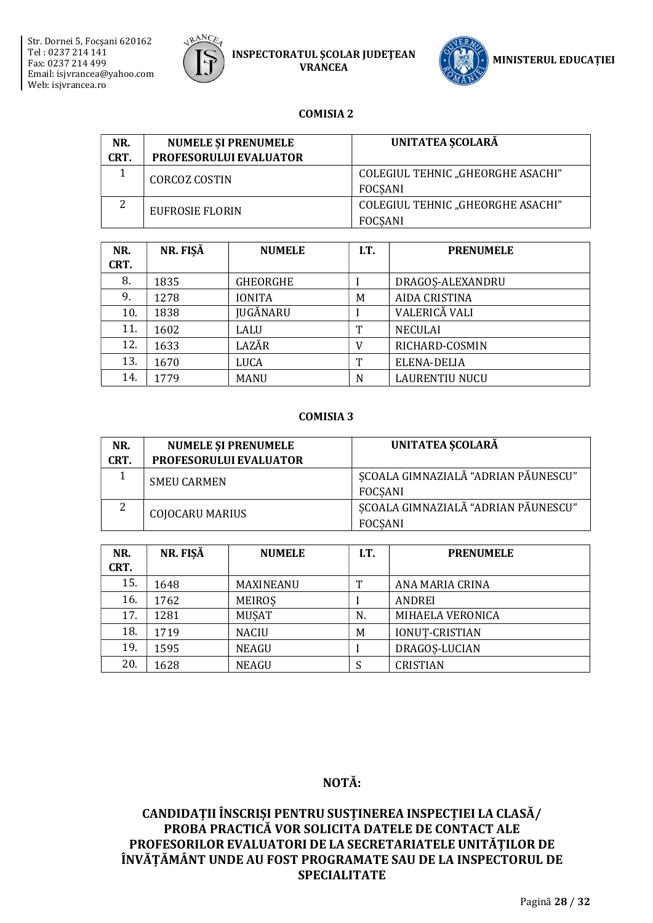



#### **COMISIA 2**

| NR.<br>CRT. | <b>NUMELE SI PRENUMELE</b><br><b>PROFESORULUI EVALUATOR</b> | <b>UNITATEA ȘCOLARĂ</b>                             |
|-------------|-------------------------------------------------------------|-----------------------------------------------------|
|             | <b>CORCOZ COSTIN</b>                                        | COLEGIUL TEHNIC "GHEORGHE ASACHI"<br>FOCSANI        |
| 2           | <b>EUFROSIE FLORIN</b>                                      | COLEGIUL TEHNIC "GHEORGHE ASACHI"<br><b>FOCSANI</b> |

| NR.<br>CRT. | NR. FISĂ | <b>NUMELE</b>   | IT. | <b>PRENUMELE</b>      |
|-------------|----------|-----------------|-----|-----------------------|
| 8.          | 1835     | <b>GHEORGHE</b> |     | DRAGOS-ALEXANDRU      |
| 9.          | 1278     | <b>IONITA</b>   | M   | <b>AIDA CRISTINA</b>  |
| 10.         | 1838     | <b>JUGĂNARU</b> |     | VALERICĂ VALI         |
| 11.         | 1602     | LALU            | m   | <b>NECULAI</b>        |
| 12.         | 1633     | LAZĂR           | V   | RICHARD-COSMIN        |
| 13.         | 1670     | LUCA            | T   | ELENA-DELIA           |
| 14.         | 1779     | <b>MANU</b>     | N   | <b>LAURENTIU NUCU</b> |

#### **COMISIA 3**

| NR.  | <b>NUMELE SI PRENUMELE</b>    | UNITATEA SCOLARĂ                                      |
|------|-------------------------------|-------------------------------------------------------|
| CRT. | <b>PROFESORULUI EVALUATOR</b> |                                                       |
|      | <b>SMEU CARMEN</b>            | SCOALA GIMNAZIALĂ "ADRIAN PĂUNESCU"<br>FOCSANI        |
| 2    | <b>COJOCARU MARIUS</b>        | SCOALA GIMNAZIALĂ "ADRIAN PĂUNESCU"<br><b>FOCSANI</b> |

| NR.<br>CRT. | NR. FISĂ | <b>NUMELE</b> | I.T. | <b>PRENUMELE</b>      |
|-------------|----------|---------------|------|-----------------------|
| 15.         | 1648     | MAXINEANU     | т    | ANA MARIA CRINA       |
| 16.         | 1762     | <b>MEIROS</b> |      | ANDREI                |
| 17.         | 1281     | <b>MUSAT</b>  | N.   | MIHAELA VERONICA      |
| 18.         | 1719     | <b>NACIU</b>  | M    | <b>IONUT-CRISTIAN</b> |
| 19.         | 1595     | <b>NEAGU</b>  |      | DRAGOS-LUCIAN         |
| 20.         | 1628     | <b>NEAGU</b>  |      | <b>CRISTIAN</b>       |

# NOTĂ: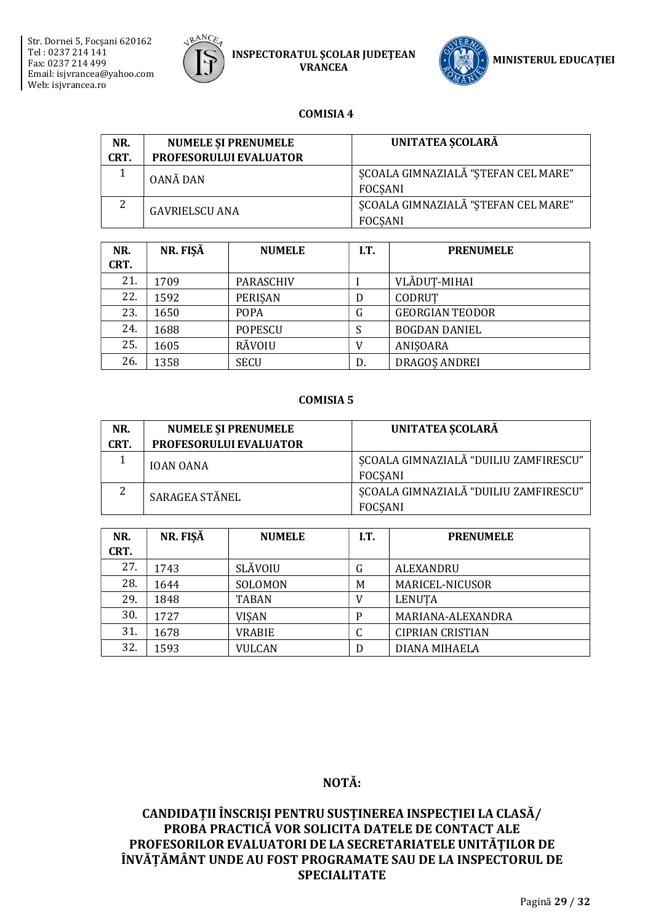



#### **COMISIA 4**

| NR.<br>CRT. | <b>NUMELE ȘI PRENUMELE</b><br>PROFESORULUI EVALUATOR | UNITATEA SCOLARĂ                                      |
|-------------|------------------------------------------------------|-------------------------------------------------------|
|             | OANĂ DAN                                             | SCOALA GIMNAZIALĂ "STEFAN CEL MARE"<br>FOCSANI        |
| 2           | <b>GAVRIELSCU ANA</b>                                | SCOALA GIMNAZIALĂ "STEFAN CEL MARE"<br><b>FOCSANI</b> |

| NR.<br>CRT. | NR. FIŞĂ | <b>NUMELE</b>  | I.T. | <b>PRENUMELE</b>       |
|-------------|----------|----------------|------|------------------------|
| 21.         | 1709     | PARASCHIV      |      | VLĂDUȚ-MIHAI           |
| 22.         | 1592     | PERISAN        | D    | CODRUT                 |
| 23.         | 1650     | <b>POPA</b>    | G    | <b>GEORGIAN TEODOR</b> |
| 24.         | 1688     | <b>POPESCU</b> | S    | <b>BOGDAN DANIEL</b>   |
| 25.         | 1605     | <b>RĂVOIU</b>  |      | ANISOARA               |
| 26.         | 1358     | <b>SECU</b>    | D.   | <b>DRAGOS ANDREI</b>   |

#### **COMISIA 5**

| NR.  | <b>NUMELE ȘI PRENUMELE</b> | UNITATEA SCOLARĂ                                        |
|------|----------------------------|---------------------------------------------------------|
| CRT. | PROFESORULUI EVALUATOR     |                                                         |
|      | <b>IOAN OANA</b>           | ȘCOALA GIMNAZIALĂ "DUILIU ZAMFIRESCU"<br>FOCSANI        |
|      | SARAGEA STĂNEL             | SCOALA GIMNAZIALĂ "DUILIU ZAMFIRESCU"<br><b>FOCSANI</b> |

| NR.<br>CRT. | NR. FISĂ | <b>NUMELE</b>  | I.T. | <b>PRENUMELE</b>        |
|-------------|----------|----------------|------|-------------------------|
| 27.         | 1743     | <b>SLĂVOIU</b> | G    | <b>ALEXANDRU</b>        |
| 28.         | 1644     | SOLOMON        | M    | MARICEL-NICUSOR         |
| 29.         | 1848     | <b>TABAN</b>   |      | <b>LENUTA</b>           |
| 30.         | 1727     | <b>VISAN</b>   | P    | MARIANA-ALEXANDRA       |
| 31.         | 1678     | <b>VRABIE</b>  | U    | <b>CIPRIAN CRISTIAN</b> |
| 32.         | 1593     | <b>VULCAN</b>  | D    | DIANA MIHAELA           |

# NOTĂ: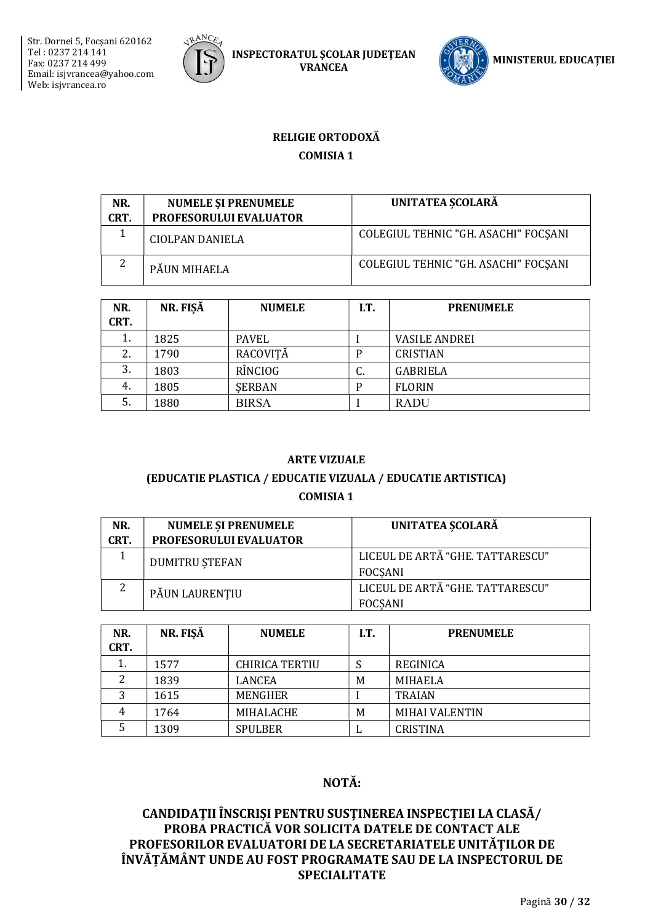



# RELIGIE ORTODOXĂ **COMISIA 1**

| NR.<br>CRT. | <b>NUMELE SI PRENUMELE</b><br>PROFESORULUI EVALUATOR | UNITATEA SCOLARĂ                     |
|-------------|------------------------------------------------------|--------------------------------------|
|             | CIOLPAN DANIELA                                      | COLEGIUL TEHNIC "GH. ASACHI" FOCSANI |
| っ           | PÁUN MIHAELA                                         | COLEGIUL TEHNIC "GH. ASACHI" FOCSANI |

| NR.<br>CRT. | NR. FIŞĂ | <b>NUMELE</b> | I.T. | <b>PRENUMELE</b>     |
|-------------|----------|---------------|------|----------------------|
| 1.          | 1825     | PAVEL         |      | <b>VASILE ANDREI</b> |
| 2.          | 1790     | RACOVITĂ      | P    | <b>CRISTIAN</b>      |
| 3.          | 1803     | RÎNCIOG       | u.   | <b>GABRIELA</b>      |
| 4.          | 1805     | <b>SERBAN</b> | P    | <b>FLORIN</b>        |
| 5.          | 1880     | <b>BIRSA</b>  |      | <b>RADU</b>          |

#### **ARTE VIZUALE**

## (EDUCATIE PLASTICA / EDUCATIE VIZUALA / EDUCATIE ARTISTICA) **COMISIA 1**

| NR.  | <b>NUMELE SI PRENUMELE</b> | UNITATEA SCOLARĂ                                   |
|------|----------------------------|----------------------------------------------------|
| CRT. | PROFESORULUI EVALUATOR     |                                                    |
|      | <b>DUMITRU STEFAN</b>      | LICEUL DE ARTĂ "GHE, TATTARESCU"<br><b>FOCSANI</b> |
| 2    | PĂUN LAURENȚIU             | LICEUL DE ARTĂ "GHE, TATTARESCU"<br><b>FOCSANI</b> |

| NR.<br>CRT. | NR. FISĂ | <b>NUMELE</b>         | I.T. | <b>PRENUMELE</b>      |
|-------------|----------|-----------------------|------|-----------------------|
| 1.          | 1577     | <b>CHIRICA TERTIU</b> |      | REGINICA              |
|             | 1839     | LANCEA                | M    | MIHAELA               |
| 3           | 1615     | MENGHER               |      | <b>TRAIAN</b>         |
| 4           | 1764     | MIHALACHE             | M    | <b>MIHAI VALENTIN</b> |
|             | 1309     | <b>SPULBER</b>        | ப    | <b>CRISTINA</b>       |

# NOTĂ: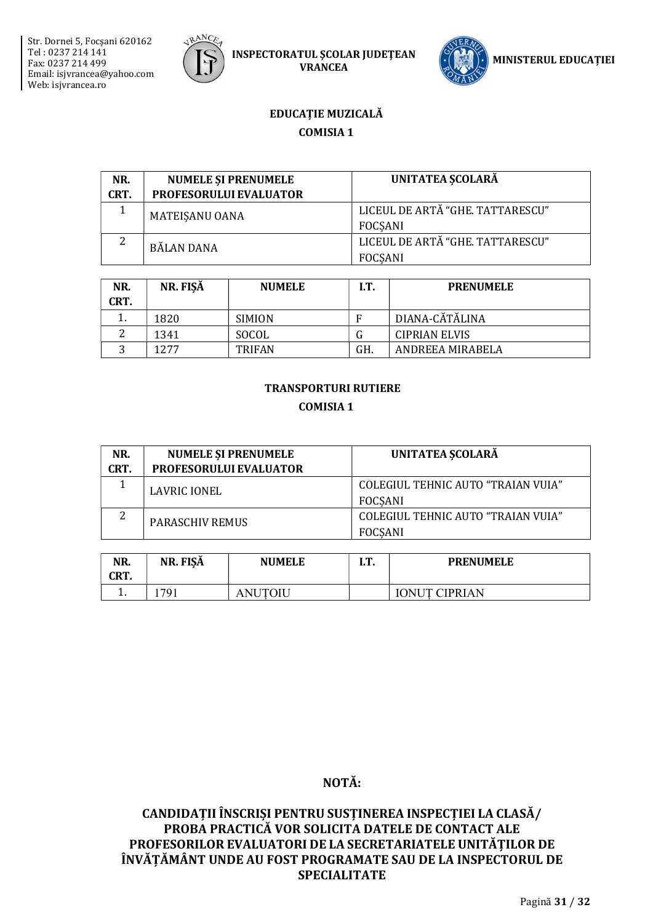



## EDUCAȚIE MUZICALĂ **COMISIA 1**

| NR.  | <b>NUMELE SI PRENUMELE</b> | UNITATEA SCOLARĂ                 |
|------|----------------------------|----------------------------------|
| CRT. | PROFESORULUI EVALUATOR     |                                  |
|      | MATEISANU OANA             | LICEUL DE ARTĂ "GHE, TATTARESCU" |
|      |                            | FOCSANI                          |
|      | BĂLAN DANA                 | LICEUL DE ARTĂ "GHE. TATTARESCU" |
|      |                            | <b>FOCSANI</b>                   |

| NR.<br>CRT. | NR. FISĂ | <b>NUMELE</b> | I.T. | <b>PRENUMELE</b>     |
|-------------|----------|---------------|------|----------------------|
|             | 1820     | <b>SIMION</b> | F    | DIANA-CĂTĂLINA       |
|             | 1341     | SOCOL         |      | <b>CIPRIAN ELVIS</b> |
| ົ           | 12.77    | <b>TRIFAN</b> | GH.  | ANDREEA MIRABELA     |

# **TRANSPORTURI RUTIERE COMISIA 1**

| NR.<br>CRT. | <b>NUMELE ȘI PRENUMELE</b><br><b>PROFESORULUI EVALUATOR</b> | UNITATEA SCOLARĂ                                            |
|-------------|-------------------------------------------------------------|-------------------------------------------------------------|
|             | LAVRIC IONEL                                                | COLEGIUL TEHNIC AUTO "TRAIAN VUIA"<br><b>FOCSANI</b>        |
| っ<br>∠      | <b>PARASCHIV REMUS</b>                                      | <b>COLEGIUL TEHNIC AUTO "TRAIAN VUIA"</b><br><b>FOCSANI</b> |

| NR.<br>CRT. | ັ<br>NR. FISĂ | <b>NUMELE</b>         | rт<br>. | <b>PRENUMELE</b>     |
|-------------|---------------|-----------------------|---------|----------------------|
| . .         | 791           | NUTOIU<br>$A_{\perp}$ |         | <b>IONUT CIPRIAN</b> |

# NOTĂ: